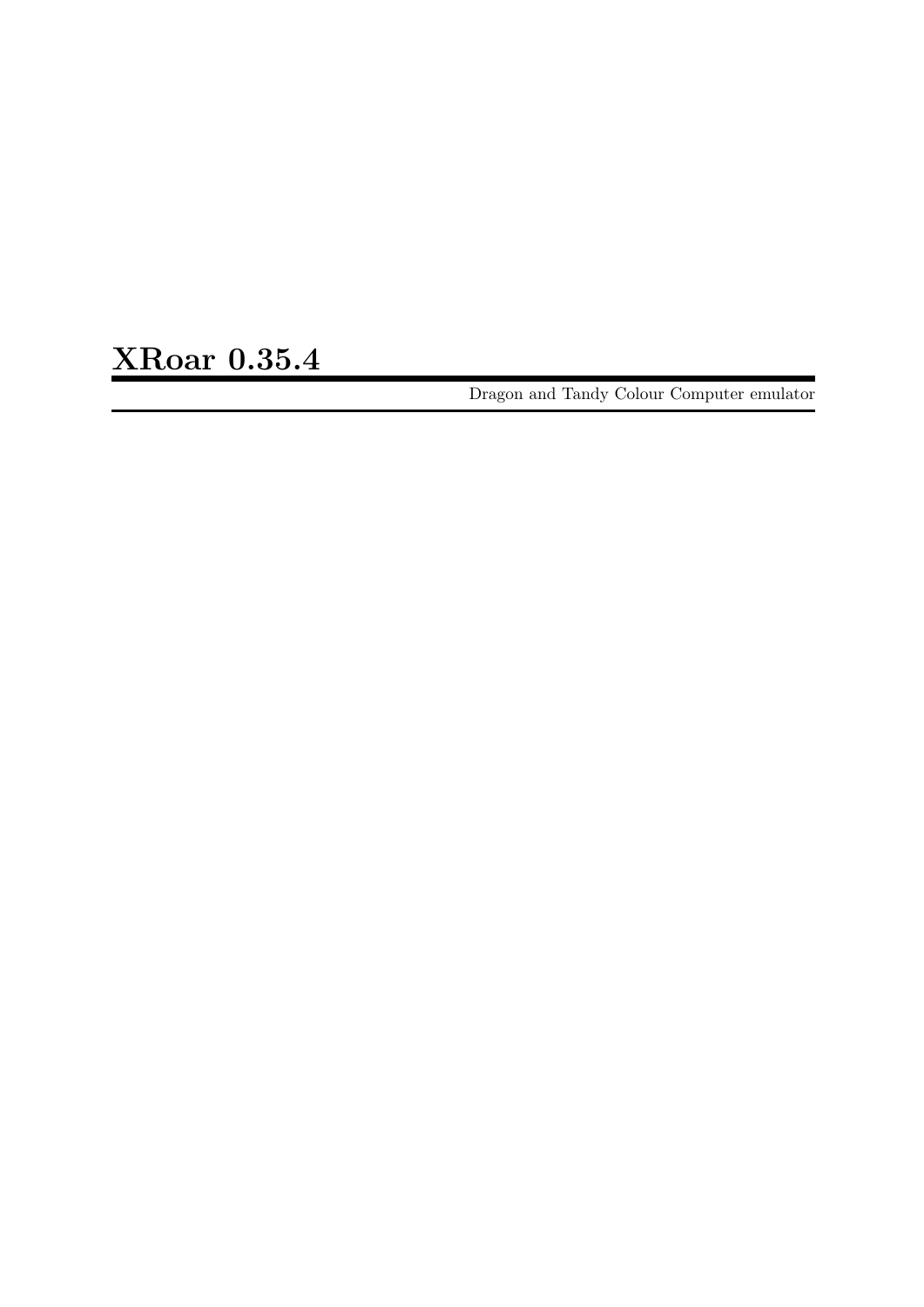XRoar 0.35.4

Dragon and Tandy Colour Computer emulator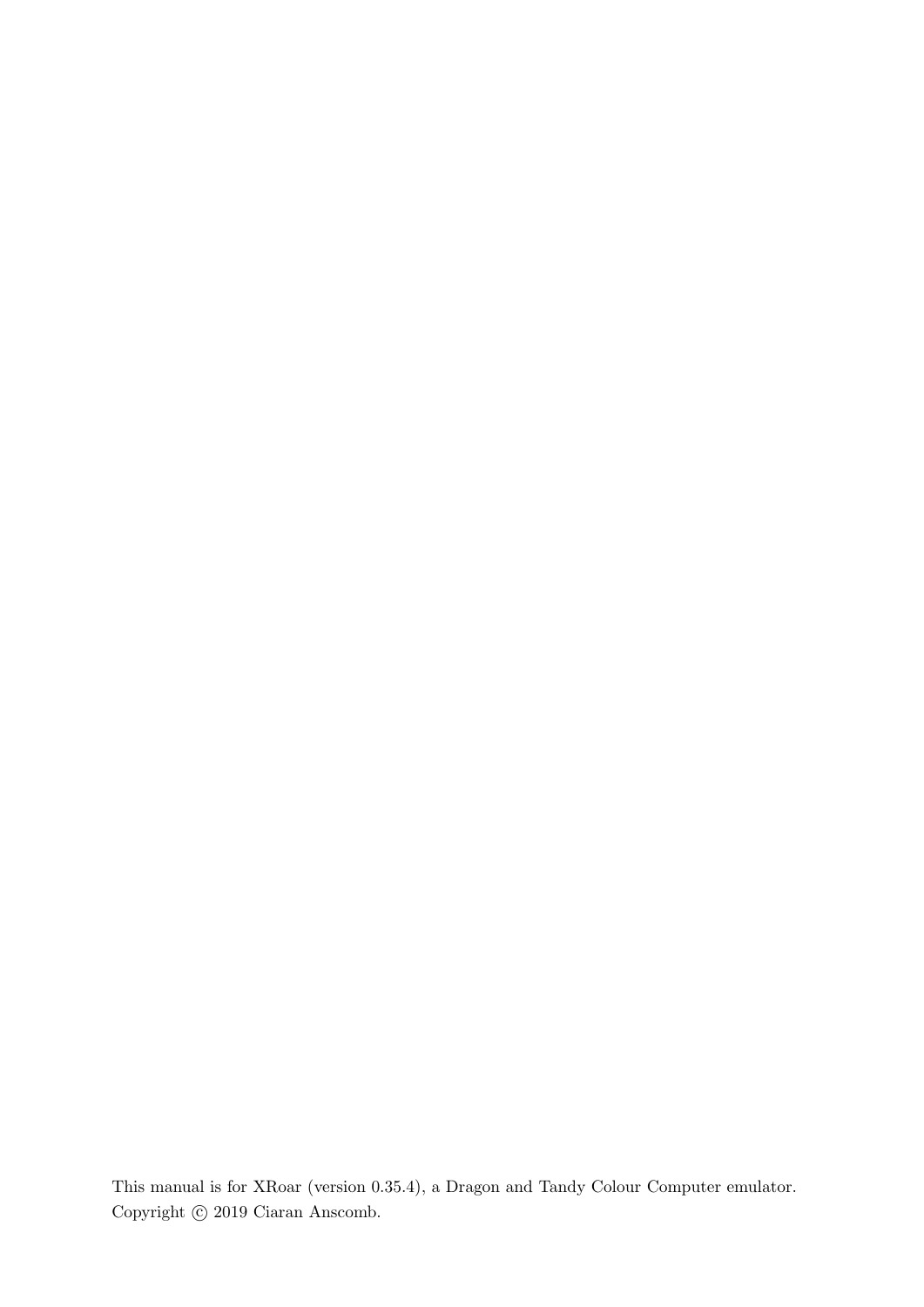This manual is for XRoar (version 0.35.4), a Dragon and Tandy Colour Computer emulator. Copyright  $\odot$  2019 Ciaran Anscomb.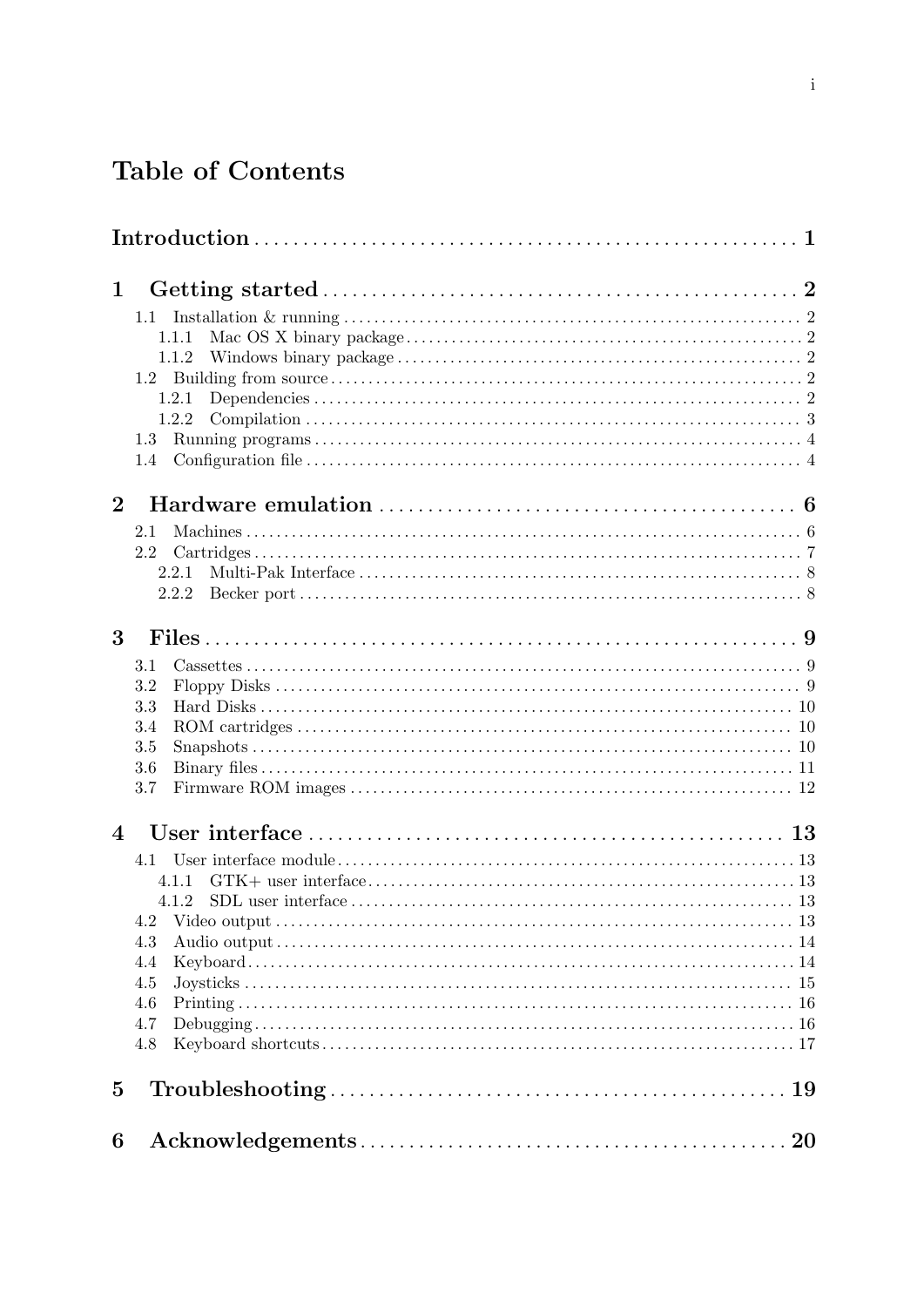# Table of Contents

| $\mathbf 1$    |                                                                                                                  |  |
|----------------|------------------------------------------------------------------------------------------------------------------|--|
|                | 1.1                                                                                                              |  |
|                | 1.1.1                                                                                                            |  |
|                | 1.1.2                                                                                                            |  |
|                |                                                                                                                  |  |
|                | 1.2.1                                                                                                            |  |
|                | 1.2.2                                                                                                            |  |
|                | 1.3                                                                                                              |  |
|                | 1.4                                                                                                              |  |
| $\overline{2}$ |                                                                                                                  |  |
|                | 2.1                                                                                                              |  |
|                | 2.2                                                                                                              |  |
|                | 2.2.1                                                                                                            |  |
|                | 2.2.2                                                                                                            |  |
|                |                                                                                                                  |  |
| 3              |                                                                                                                  |  |
|                | 3.1                                                                                                              |  |
|                | 3.2                                                                                                              |  |
|                | 3.3                                                                                                              |  |
|                | 3.4                                                                                                              |  |
|                | 3.5                                                                                                              |  |
|                | 3.6                                                                                                              |  |
|                | 3.7                                                                                                              |  |
| $\overline{4}$ |                                                                                                                  |  |
|                |                                                                                                                  |  |
|                | 4.1.1                                                                                                            |  |
|                | 4.1.2                                                                                                            |  |
|                | 4.2                                                                                                              |  |
|                | 4.3                                                                                                              |  |
|                | 4.4                                                                                                              |  |
|                | 4.5                                                                                                              |  |
|                | 4.6                                                                                                              |  |
|                | 4.7                                                                                                              |  |
|                | 4.8                                                                                                              |  |
| $\bf{5}$       | $Troubles hooting \ldots \ldots \ldots \ldots \ldots \ldots \ldots \ldots \ldots \ldots \ldots \ldots \ldots 19$ |  |
| 6              |                                                                                                                  |  |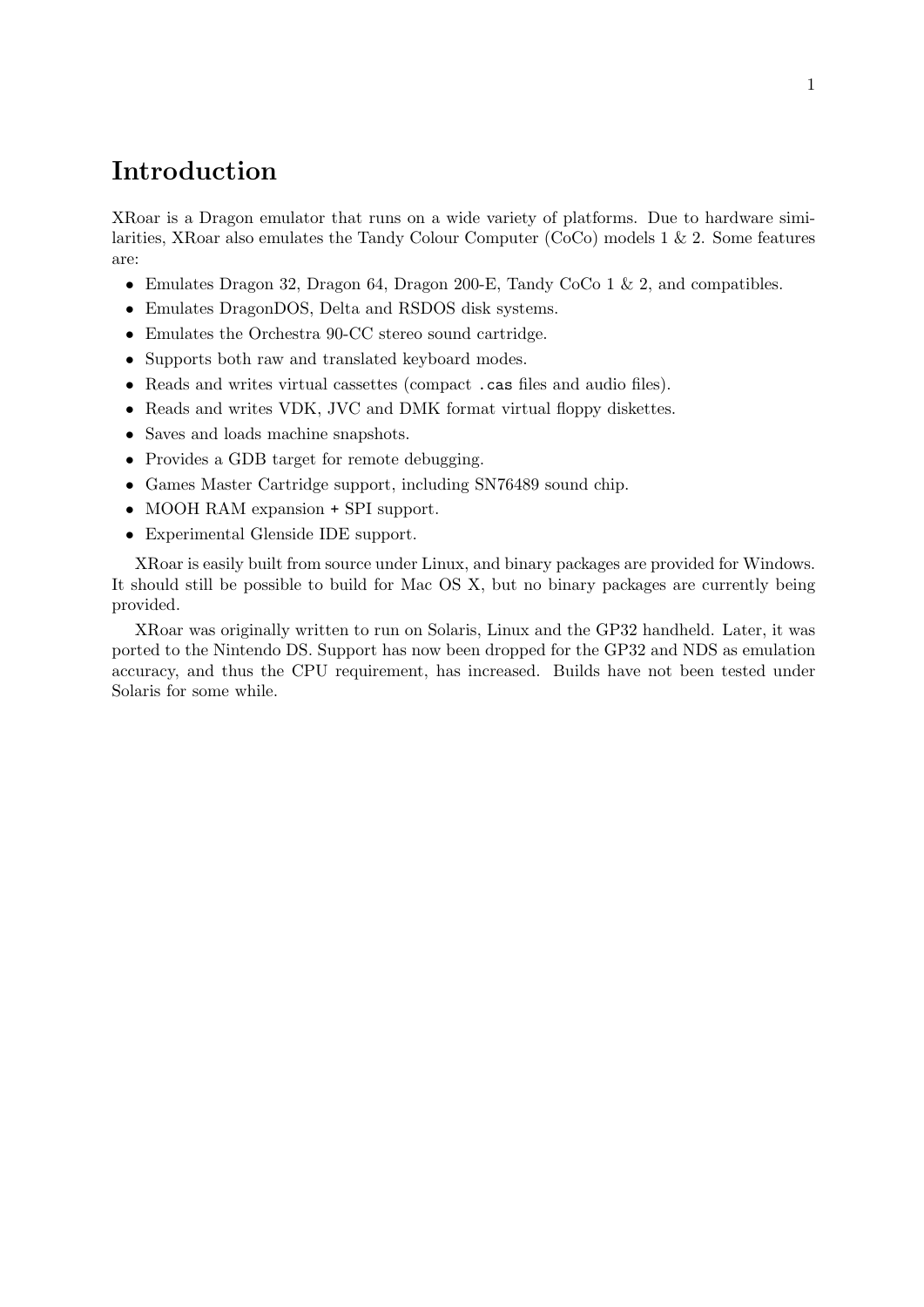## <span id="page-3-0"></span>Introduction

XRoar is a Dragon emulator that runs on a wide variety of platforms. Due to hardware similarities, XRoar also emulates the Tandy Colour Computer (CoCo) models 1 & 2. Some features are:

- Emulates Dragon 32, Dragon 64, Dragon 200-E, Tandy CoCo 1 & 2, and compatibles.
- Emulates DragonDOS, Delta and RSDOS disk systems.
- Emulates the Orchestra 90-CC stereo sound cartridge.
- Supports both raw and translated keyboard modes.
- Reads and writes virtual cassettes (compact .cas files and audio files).
- Reads and writes VDK, JVC and DMK format virtual floppy diskettes.
- Saves and loads machine snapshots.
- Provides a GDB target for remote debugging.
- Games Master Cartridge support, including SN76489 sound chip.
- MOOH RAM expansion + SPI support.
- Experimental Glenside IDE support.

XRoar is easily built from source under Linux, and binary packages are provided for Windows. It should still be possible to build for Mac OS X, but no binary packages are currently being provided.

XRoar was originally written to run on Solaris, Linux and the GP32 handheld. Later, it was ported to the Nintendo DS. Support has now been dropped for the GP32 and NDS as emulation accuracy, and thus the CPU requirement, has increased. Builds have not been tested under Solaris for some while.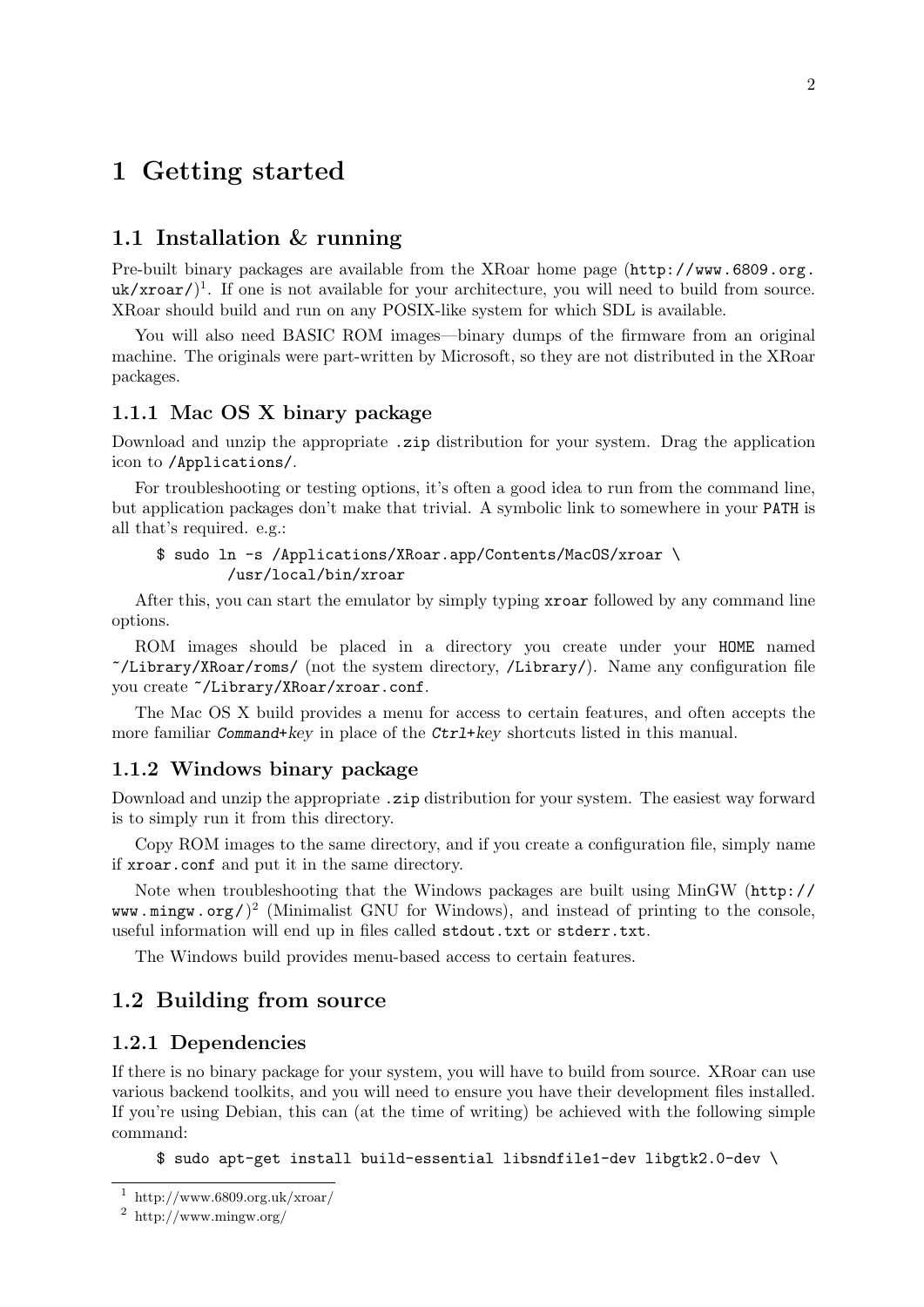## <span id="page-4-0"></span>1 Getting started

### 1.1 Installation & running

Pre-built binary packages are available from the XRoar home page ([http://www.6809.org.](http://www.6809.org.uk/xroar/)  $uk/xroar/$ <sup>1</sup>. If one is not available for your architecture, you will need to build from source. XRoar should build and run on any POSIX-like system for which SDL is available.

You will also need BASIC ROM images—binary dumps of the firmware from an original machine. The originals were part-written by Microsoft, so they are not distributed in the XRoar packages.

### 1.1.1 Mac OS X binary package

Download and unzip the appropriate .zip distribution for your system. Drag the application icon to /Applications/.

For troubleshooting or testing options, it's often a good idea to run from the command line, but application packages don't make that trivial. A symbolic link to somewhere in your PATH is all that's required. e.g.:

```
$ sudo ln -s /Applications/XRoar.app/Contents/MacOS/xroar \
        /usr/local/bin/xroar
```
After this, you can start the emulator by simply typing xroar followed by any command line options.

ROM images should be placed in a directory you create under your HOME named ~/Library/XRoar/roms/ (not the system directory, /Library/). Name any configuration file you create ~/Library/XRoar/xroar.conf.

The Mac OS X build provides a menu for access to certain features, and often accepts the more familiar Command+key in place of the Ctrl+key shortcuts listed in this manual.

### 1.1.2 Windows binary package

Download and unzip the appropriate .zip distribution for your system. The easiest way forward is to simply run it from this directory.

Copy ROM images to the same directory, and if you create a configuration file, simply name if xroar.conf and put it in the same directory.

Note when troubleshooting that the Windows packages are built using [MinGW \(](http://www.mingw.org/)http:// [www.mingw.org/](http://www.mingw.org/) $)^2$  (Minimalist GNU for Windows), and instead of printing to the console, useful information will end up in files called stdout.txt or stderr.txt.

The Windows build provides menu-based access to certain features.

### <span id="page-4-1"></span>1.2 Building from source

### 1.2.1 Dependencies

If there is no binary package for your system, you will have to build from source. XRoar can use various backend toolkits, and you will need to ensure you have their development files installed. If you're using Debian, this can (at the time of writing) be achieved with the following simple command:

\$ sudo apt-get install build-essential libsndfile1-dev libgtk2.0-dev \

 $1$  http://www.6809.org.uk/xroar/

<sup>2</sup> http://www.mingw.org/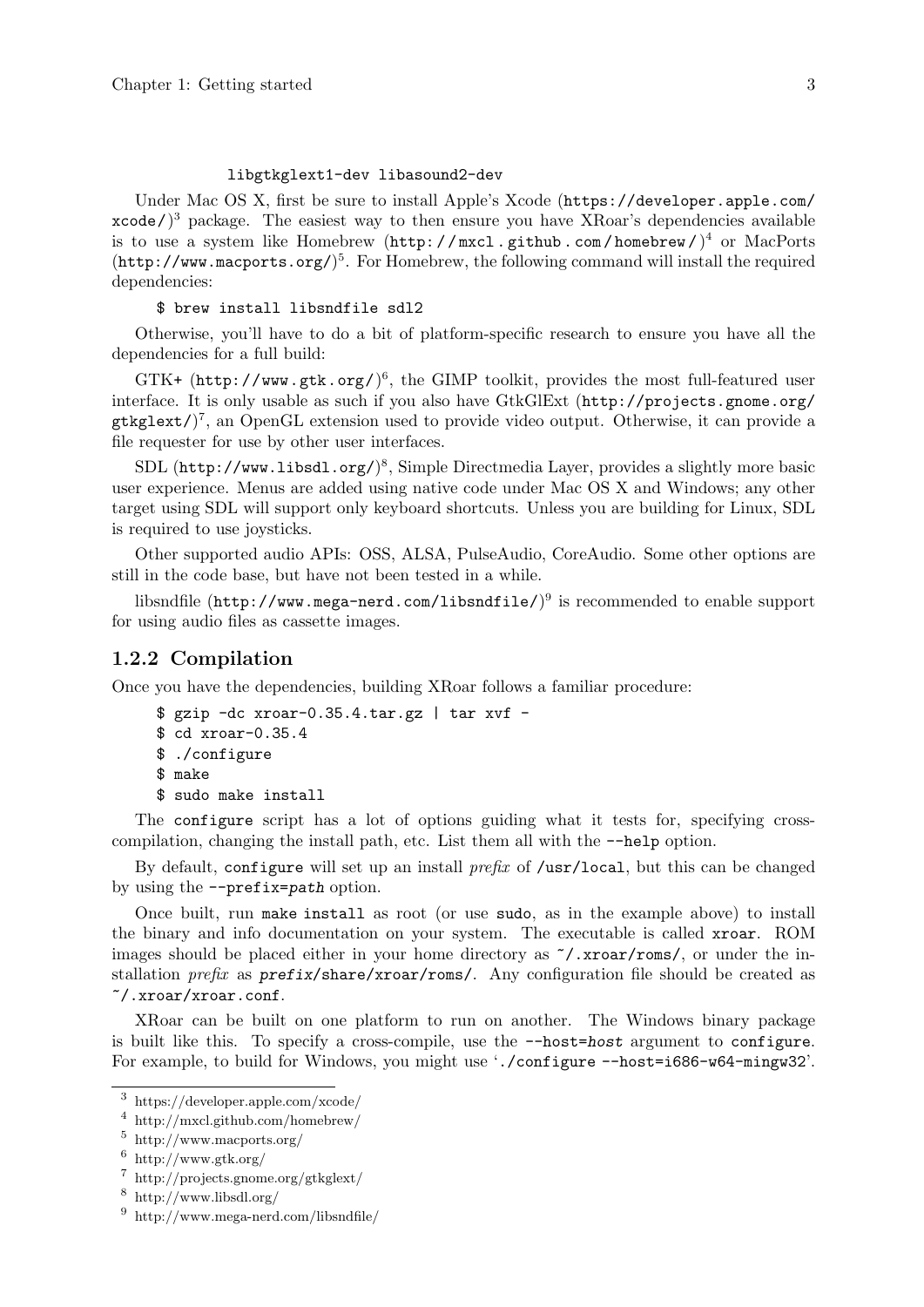#### libgtkglext1-dev libasound2-dev

<span id="page-5-0"></span>Under Mac OS X, first be sure to install Apple's Xcode ([https://developer.apple.com/](https://developer.apple.com/xcode/)  $x \cdot \text{code}$ )<sup>3</sup> package. The easiest way to then ensure you have XRoar's dependencies available is to use a system like Homebrew (http://mxcl.github.com/homebrew/)<sup>4</sup> or [MacPorts](http://www.macports.org/) (<http://www.macports.org/>) 5 . For Homebrew, the following command will install the required dependencies:

#### \$ brew install libsndfile sdl2

Otherwise, you'll have to do a bit of platform-specific research to ensure you have all the dependencies for a full build:

GTK+ (<http://www.gtk.org/>)<sup>6</sup>, the GIMP toolkit, provides the most full-featured user interface. It is only usable as such if you also have GtkGlExt ([http://projects.gnome.org/](http://projects.gnome.org/gtkglext/) [gtkglext/](http://projects.gnome.org/gtkglext/)) 7 , an OpenGL extension used to provide video output. Otherwise, it can provide a file requester for use by other user interfaces.

SDL (<http://www.libsdl.org/>)<sup>8</sup>, Simple Directmedia Layer, provides a slightly more basic user experience. Menus are added using native code under Mac OS X and Windows; any other target using SDL will support only keyboard shortcuts. Unless you are building for Linux, SDL is required to use joysticks.

Other supported audio APIs: OSS, ALSA, PulseAudio, CoreAudio. Some other options are still in the code base, but have not been tested in a while.

libsndfile (<code><http://www.mega-nerd.com/libsndfile/></code>) $^9$  is recommended to enable support for using audio files as cassette images.

### 1.2.2 Compilation

Once you have the dependencies, building XRoar follows a familiar procedure:

```
$ gzip -dc xroar-0.35.4.tar.gz | tar xvf -
$ cd xroar-0.35.4
$ ./configure
$ make
$ sudo make install
```
The configure script has a lot of options guiding what it tests for, specifying crosscompilation, changing the install path, etc. List them all with the --help option.

By default, configure will set up an install *prefix* of /usr/local, but this can be changed by using the --prefix=path option.

Once built, run make install as root (or use sudo, as in the example above) to install the binary and info documentation on your system. The executable is called xroar. ROM images should be placed either in your home directory as ~/.xroar/roms/, or under the installation  $prefix$  as  $prefix/share/xxoar/rons/$ . Any configuration file should be created as ~/.xroar/xroar.conf.

XRoar can be built on one platform to run on another. The Windows binary package is built like this. To specify a cross-compile, use the  $-$ -host=host argument to configure. For example, to build for Windows, you might use './configure --host=i686-w64-mingw32'.

<sup>3</sup> https://developer.apple.com/xcode/

<sup>4</sup> http://mxcl.github.com/homebrew/

<sup>5</sup> http://www.macports.org/

 $6$  http://www.gtk.org/

<sup>7</sup> http://projects.gnome.org/gtkglext/

 $^8\,$ http://www.libsdl.org/

<sup>9</sup> http://www.mega-nerd.com/libsndfile/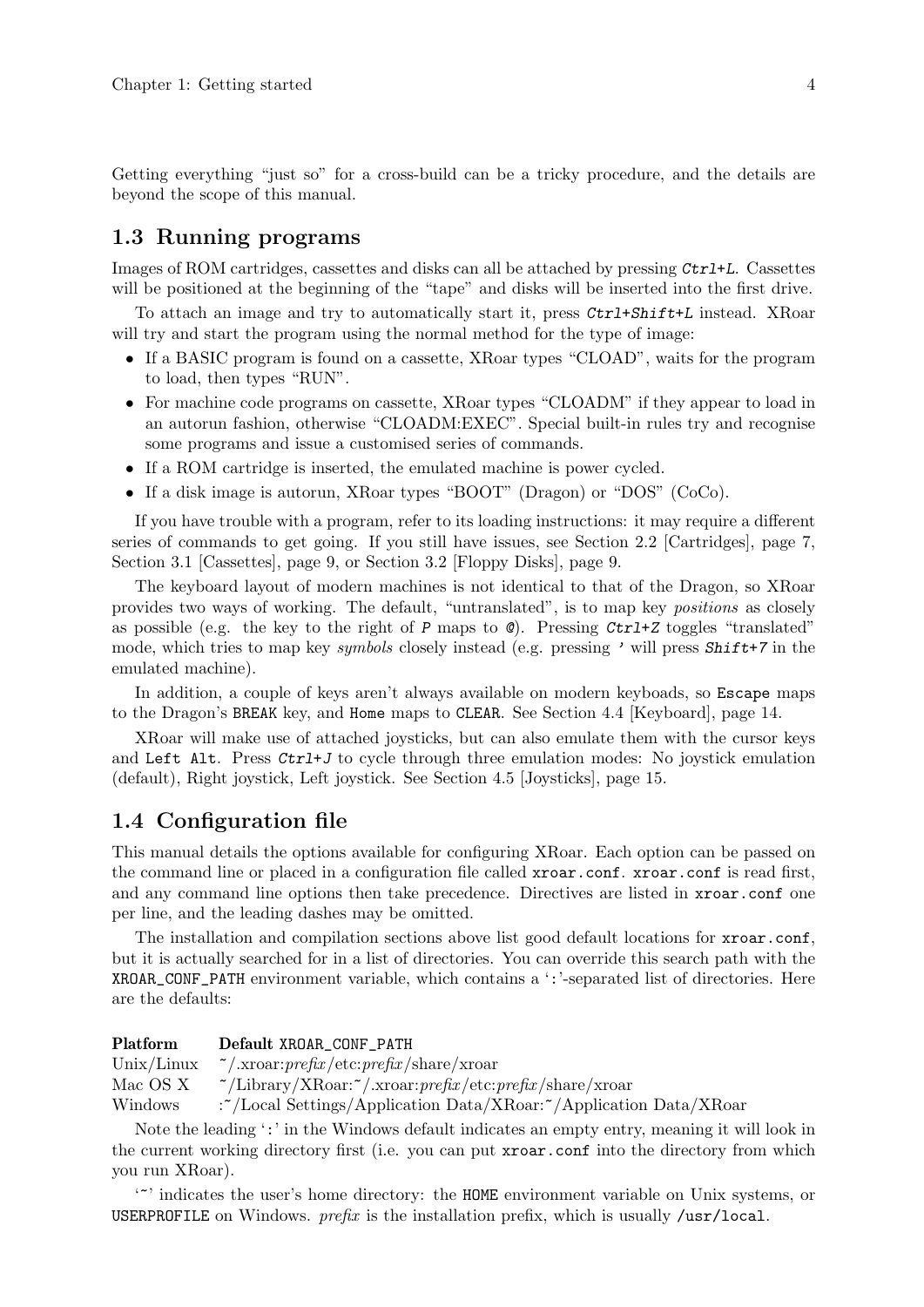<span id="page-6-0"></span>Getting everything "just so" for a cross-build can be a tricky procedure, and the details are beyond the scope of this manual.

### <span id="page-6-1"></span>1.3 Running programs

Images of ROM cartridges, cassettes and disks can all be attached by pressing  $\mathcal{C}\text{tr1+}L$ . Cassettes will be positioned at the beginning of the "tape" and disks will be inserted into the first drive.

To attach an image and try to automatically start it, press Ctrl+Shift+L instead. XRoar will try and start the program using the normal method for the type of image:

- If a BASIC program is found on a cassette, XRoar types "CLOAD", waits for the program to load, then types "RUN".
- For machine code programs on cassette, XRoar types "CLOADM" if they appear to load in an autorun fashion, otherwise "CLOADM:EXEC". Special built-in rules try and recognise some programs and issue a customised series of commands.
- If a ROM cartridge is inserted, the emulated machine is power cycled.
- If a disk image is autorun, XRoar types "BOOT" (Dragon) or "DOS" (CoCo).

If you have trouble with a program, refer to its loading instructions: it may require a different series of commands to get going. If you still have issues, see [Section 2.2 \[Cartridges\], page 7,](#page-9-1) [Section 3.1 \[Cassettes\], page 9,](#page-11-1) or [Section 3.2 \[Floppy Disks\], page 9.](#page-11-2)

The keyboard layout of modern machines is not identical to that of the Dragon, so XRoar provides two ways of working. The default, "untranslated", is to map key positions as closely as possible (e.g. the key to the right of P maps to  $\emptyset$ ). Pressing Ctrl+Z toggles "translated" mode, which tries to map key *symbols* closely instead (e.g. pressing ' will press **Shift+7** in the emulated machine).

In addition, a couple of keys aren't always available on modern keyboads, so Escape maps to the Dragon's BREAK key, and Home maps to CLEAR. See [Section 4.4 \[Keyboard\], page 14](#page-16-1).

XRoar will make use of attached joysticks, but can also emulate them with the cursor keys and Left Alt. Press  $\mathcal{C}tr1+J$  to cycle through three emulation modes: No joystick emulation (default), Right joystick, Left joystick. See [Section 4.5 \[Joysticks\], page 15.](#page-17-1)

### 1.4 Configuration file

This manual details the options available for configuring XRoar. Each option can be passed on the command line or placed in a configuration file called xroar.conf. xroar.conf is read first, and any command line options then take precedence. Directives are listed in xroar.conf one per line, and the leading dashes may be omitted.

The installation and compilation sections above list good default locations for xroar.conf, but it is actually searched for in a list of directories. You can override this search path with the XROAR\_CONF\_PATH environment variable, which contains a ':'-separated list of directories. Here are the defaults:

| Platform   | Default XROAR_CONF_PATH                                                                                                                               |
|------------|-------------------------------------------------------------------------------------------------------------------------------------------------------|
| Unix/Linux | $\tilde{z}/x$ roar: prefix/etc: prefix/share/xroar                                                                                                    |
| Mac OS X   | $\gamma$ Library/XRoar: $\gamma$ /xroar: <i>prefix</i> /etc: <i>prefix</i> /share/xroar                                                               |
| Windows    | :~/Local Settings/Application Data/XRoar:~/Application Data/XRoar                                                                                     |
|            | $\mathbf{M}$ , and it is a set of $\mathbf{M}$ . The set of $\mathbf{M}$ is the set of $\mathbf{M}$ is a set of $\mathbf{M}$ is a set of $\mathbf{M}$ |

Note the leading ':' in the Windows default indicates an empty entry, meaning it will look in the current working directory first (i.e. you can put xroar.conf into the directory from which you run XRoar).

'~' indicates the user's home directory: the HOME environment variable on Unix systems, or USERPROFILE on Windows.  $prefix$  is the installation prefix, which is usually /usr/local.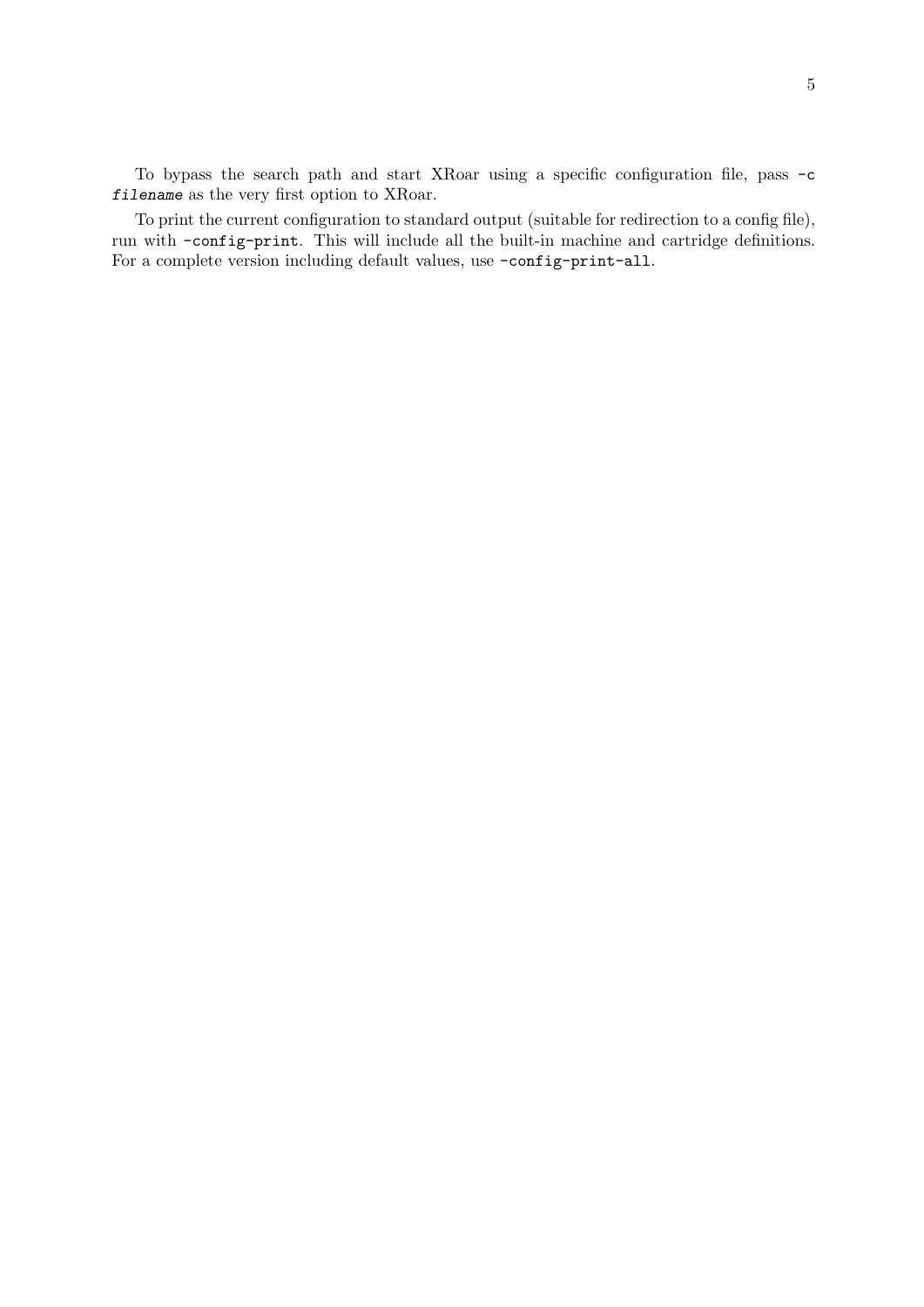To bypass the search path and start XRoar using a specific configuration file, pass -c filename as the very first option to XRoar.

To print the current configuration to standard output (suitable for redirection to a config file), run with -config-print. This will include all the built-in machine and cartridge definitions. For a complete version including default values, use -config-print-all.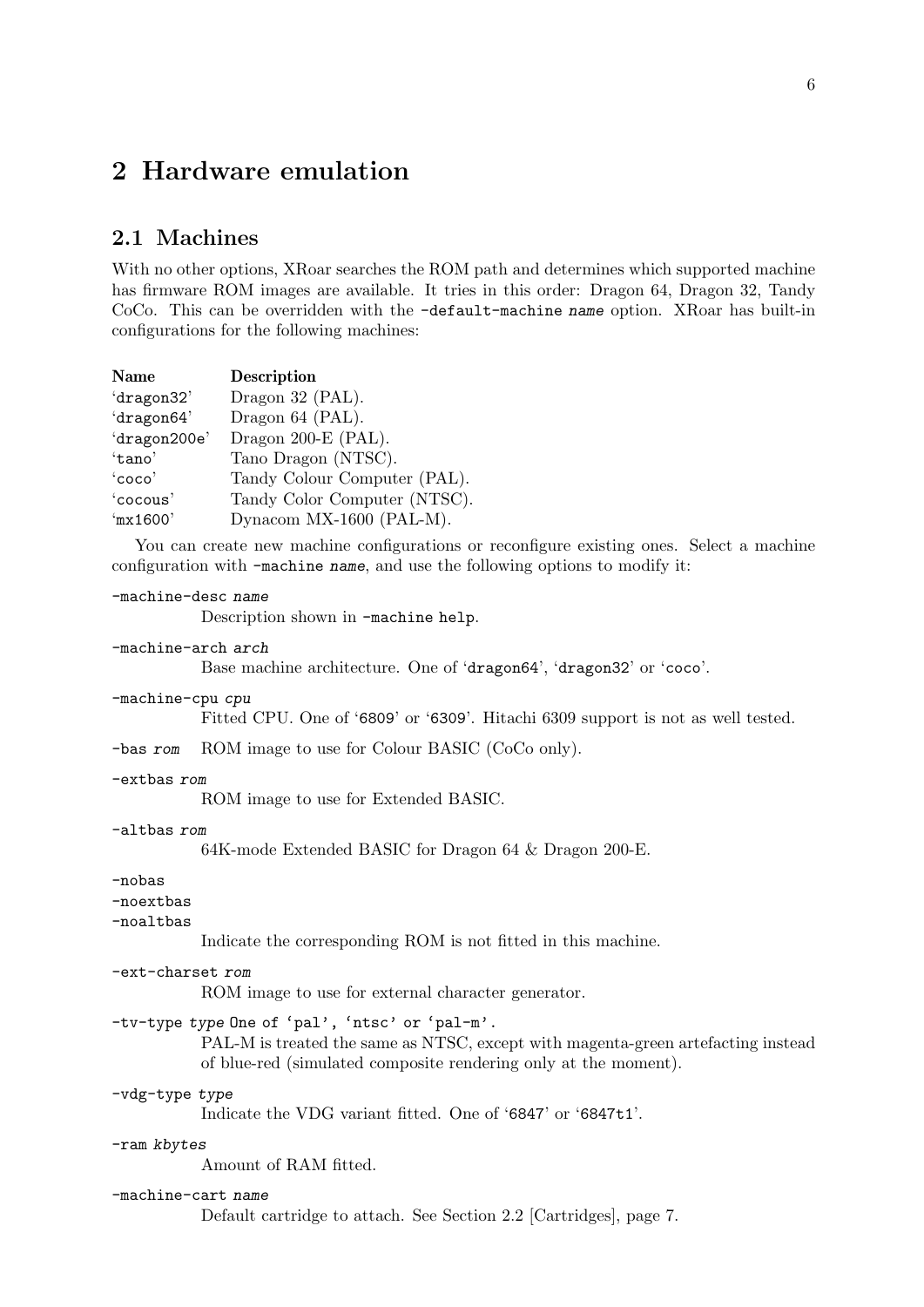## <span id="page-8-0"></span>2 Hardware emulation

### <span id="page-8-1"></span>2.1 Machines

With no other options, XRoar searches the ROM path and determines which supported machine has firmware ROM images are available. It tries in this order: Dragon 64, Dragon 32, Tandy CoCo. This can be overridden with the -default-machine name option. XRoar has built-in configurations for the following machines:

| Name         | <b>Description</b>           |
|--------------|------------------------------|
| 'dragon32'   | Dragon 32 (PAL).             |
| 'dragon64'   | Dragon 64 (PAL).             |
| 'dragon200e' | Dragon 200-E (PAL).          |
| 'tano'       | Tano Dragon (NTSC).          |
| 'coco'       | Tandy Colour Computer (PAL). |
| 'cocous'     | Tandy Color Computer (NTSC). |
| 'mx1600'     | Dynacom MX-1600 (PAL-M).     |

You can create new machine configurations or reconfigure existing ones. Select a machine configuration with -machine name, and use the following options to modify it:

#### -machine-desc name

Description shown in -machine help.

### -machine-arch arch

Base machine architecture. One of 'dragon64', 'dragon32' or 'coco'.

#### -machine-cpu cpu

Fitted CPU. One of '6809' or '6309'. Hitachi 6309 support is not as well tested.

-bas rom ROM image to use for Colour BASIC (CoCo only).

#### -extbas rom

ROM image to use for Extended BASIC.

#### -altbas rom

64K-mode Extended BASIC for Dragon 64 & Dragon 200-E.

### -nobas

### -noextbas

-noaltbas

Indicate the corresponding ROM is not fitted in this machine.

#### -ext-charset rom

ROM image to use for external character generator.

### -tv-type type One of 'pal', 'ntsc' or 'pal-m'.

PAL-M is treated the same as NTSC, except with magenta-green artefacting instead of blue-red (simulated composite rendering only at the moment).

### -vdg-type type

Indicate the VDG variant fitted. One of '6847' or '6847t1'.

#### -ram kbytes

Amount of RAM fitted.

#### -machine-cart name

Default cartridge to attach. See [Section 2.2 \[Cartridges\], page 7](#page-9-1).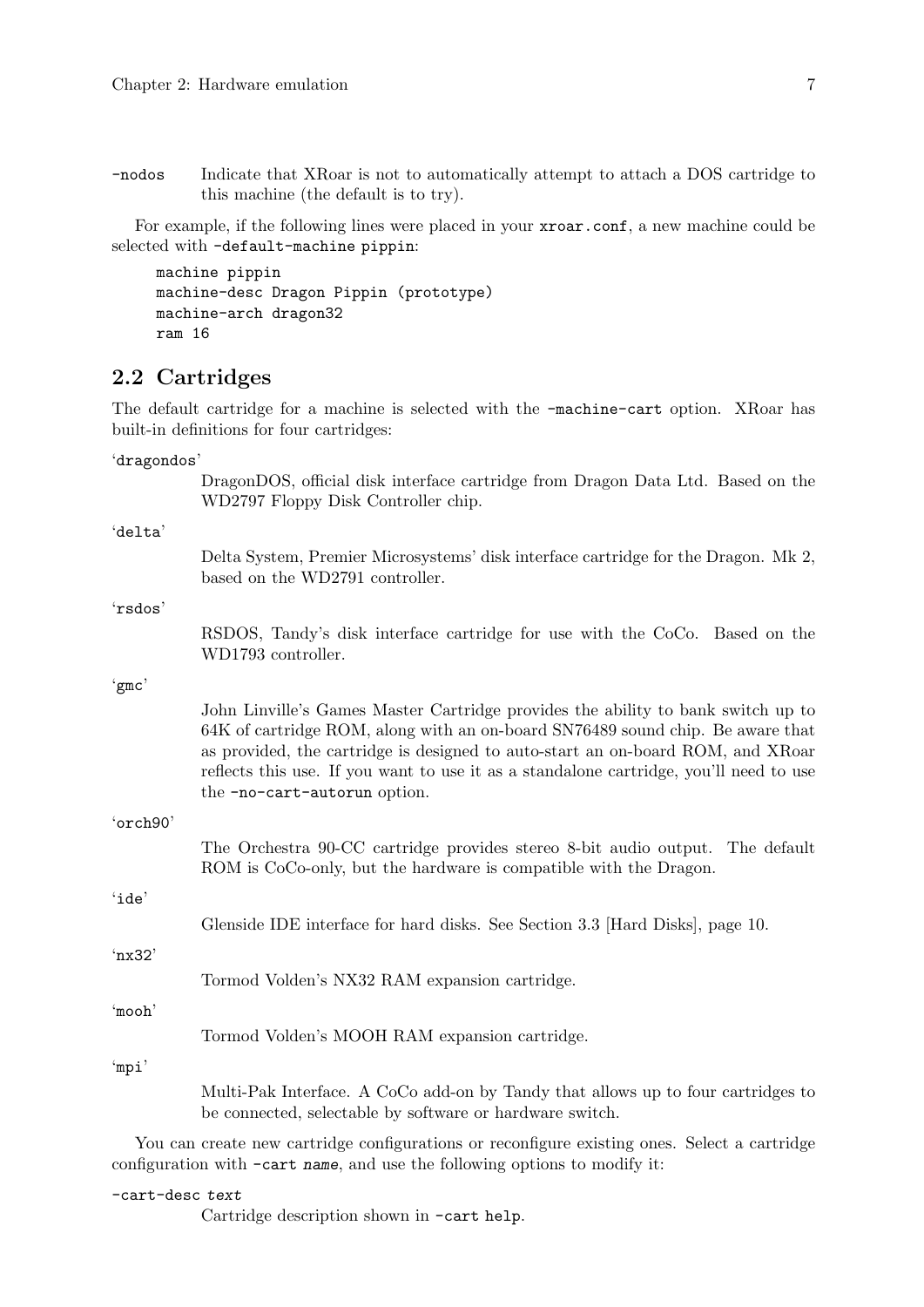<span id="page-9-0"></span>-nodos Indicate that XRoar is not to automatically attempt to attach a DOS cartridge to this machine (the default is to try).

For example, if the following lines were placed in your **xroar.conf**, a new machine could be selected with -default-machine pippin:

```
machine pippin
machine-desc Dragon Pippin (prototype)
machine-arch dragon32
ram 16
```
### <span id="page-9-1"></span>2.2 Cartridges

'dragondos'

The default cartridge for a machine is selected with the -machine-cart option. XRoar has built-in definitions for four cartridges:

DragonDOS, official disk interface cartridge from Dragon Data Ltd. Based on the WD2797 Floppy Disk Controller chip. 'delta' Delta System, Premier Microsystems' disk interface cartridge for the Dragon. Mk 2, based on the WD2791 controller. 'rsdos' RSDOS, Tandy's disk interface cartridge for use with the CoCo. Based on the WD1793 controller. 'gmc' John Linville's Games Master Cartridge provides the ability to bank switch up to 64K of cartridge ROM, along with an on-board SN76489 sound chip. Be aware that as provided, the cartridge is designed to auto-start an on-board ROM, and XRoar reflects this use. If you want to use it as a standalone cartridge, you'll need to use the -no-cart-autorun option. 'orch90' The Orchestra 90-CC cartridge provides stereo 8-bit audio output. The default ROM is CoCo-only, but the hardware is compatible with the Dragon. 'ide' Glenside IDE interface for hard disks. See [Section 3.3 \[Hard Disks\], page 10.](#page-12-1) 'nx32' Tormod Volden's NX32 RAM expansion cartridge. 'mooh' Tormod Volden's MOOH RAM expansion cartridge. 'mpi' Multi-Pak Interface. A CoCo add-on by Tandy that allows up to four cartridges to be connected, selectable by software or hardware switch.

You can create new cartridge configurations or reconfigure existing ones. Select a cartridge configuration with -cart name, and use the following options to modify it:

-cart-desc text

Cartridge description shown in -cart help.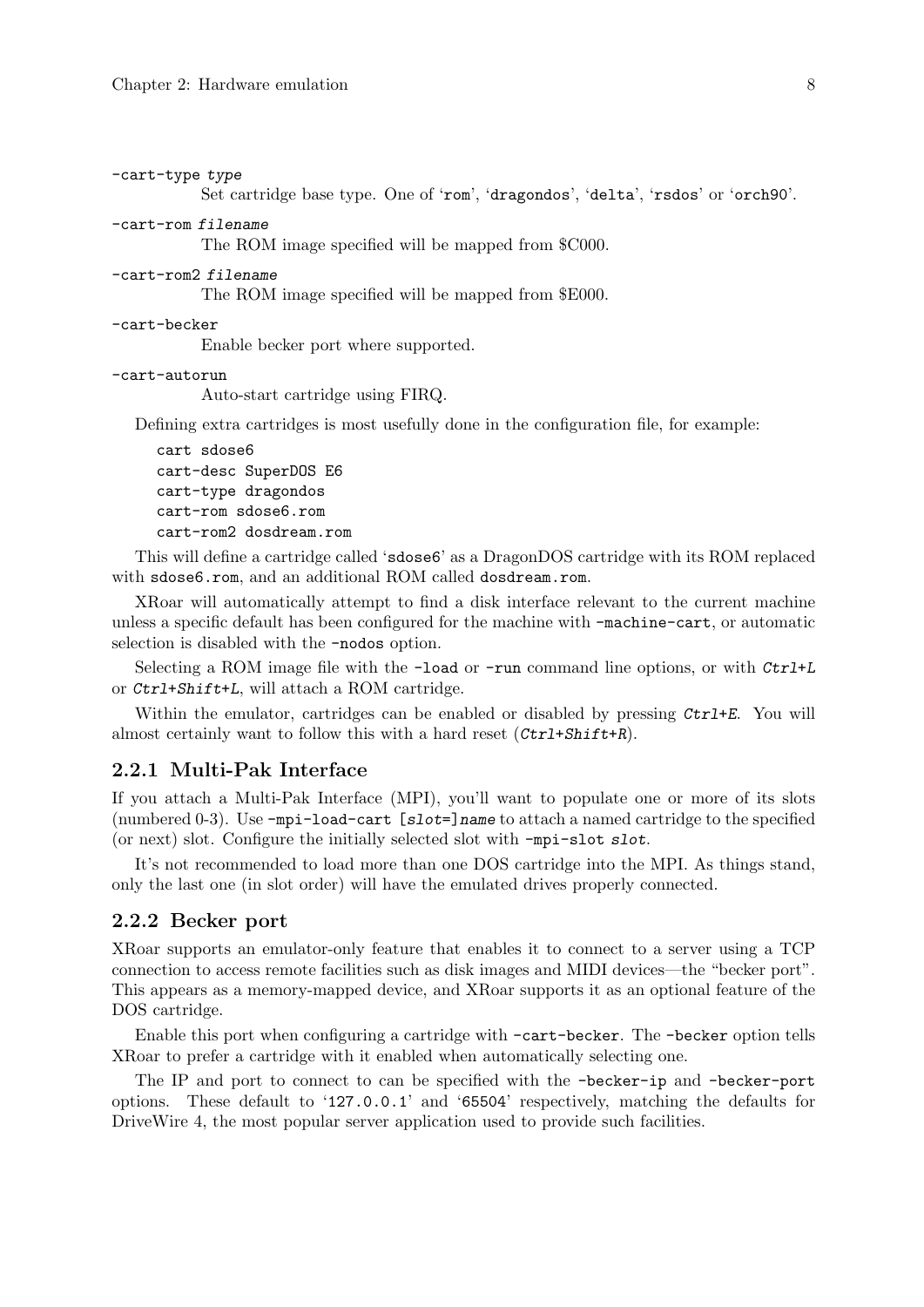```
-cart-type type
```
Set cartridge base type. One of 'rom', 'dragondos', 'delta', 'rsdos' or 'orch90'.

```
-cart-rom filename
```
The ROM image specified will be mapped from \$C000.

```
-cart-rom2 filename
```
The ROM image specified will be mapped from \$E000.

#### -cart-becker

Enable becker port where supported.

```
-cart-autorun
```
Auto-start cartridge using FIRQ.

Defining extra cartridges is most usefully done in the configuration file, for example:

cart sdose6 cart-desc SuperDOS E6 cart-type dragondos cart-rom sdose6.rom cart-rom2 dosdream.rom

This will define a cartridge called 'sdose6' as a DragonDOS cartridge with its ROM replaced with sdose6.rom, and an additional ROM called dosdream.rom.

XRoar will automatically attempt to find a disk interface relevant to the current machine unless a specific default has been configured for the machine with -machine-cart, or automatic selection is disabled with the -nodos option.

Selecting a ROM image file with the -load or -run command line options, or with Ctrl+L or Ctrl+Shift+L, will attach a ROM cartridge.

Within the emulator, cartridges can be enabled or disabled by pressing  $Ctrl+E$ . You will almost certainly want to follow this with a hard reset  $(\mathcal{C}tr1+\mathcal{S}hift+R)$ .

### 2.2.1 Multi-Pak Interface

If you attach a Multi-Pak Interface (MPI), you'll want to populate one or more of its slots (numbered 0-3). Use  $-\text{mpi}-\text{load}-\text{cart}$  [ $\text{slot}=\text{name}$  to attach a named cartridge to the specified (or next) slot. Configure the initially selected slot with -mpi-slot slot.

It's not recommended to load more than one DOS cartridge into the MPI. As things stand, only the last one (in slot order) will have the emulated drives properly connected.

### 2.2.2 Becker port

XRoar supports an emulator-only feature that enables it to connect to a server using a TCP connection to access remote facilities such as disk images and MIDI devices—the "becker port". This appears as a memory-mapped device, and XRoar supports it as an optional feature of the DOS cartridge.

Enable this port when configuring a cartridge with -cart-becker. The -becker option tells XRoar to prefer a cartridge with it enabled when automatically selecting one.

The IP and port to connect to can be specified with the -becker-ip and -becker-port options. These default to '127.0.0.1' and '65504' respectively, matching the defaults for DriveWire 4, the most popular server application used to provide such facilities.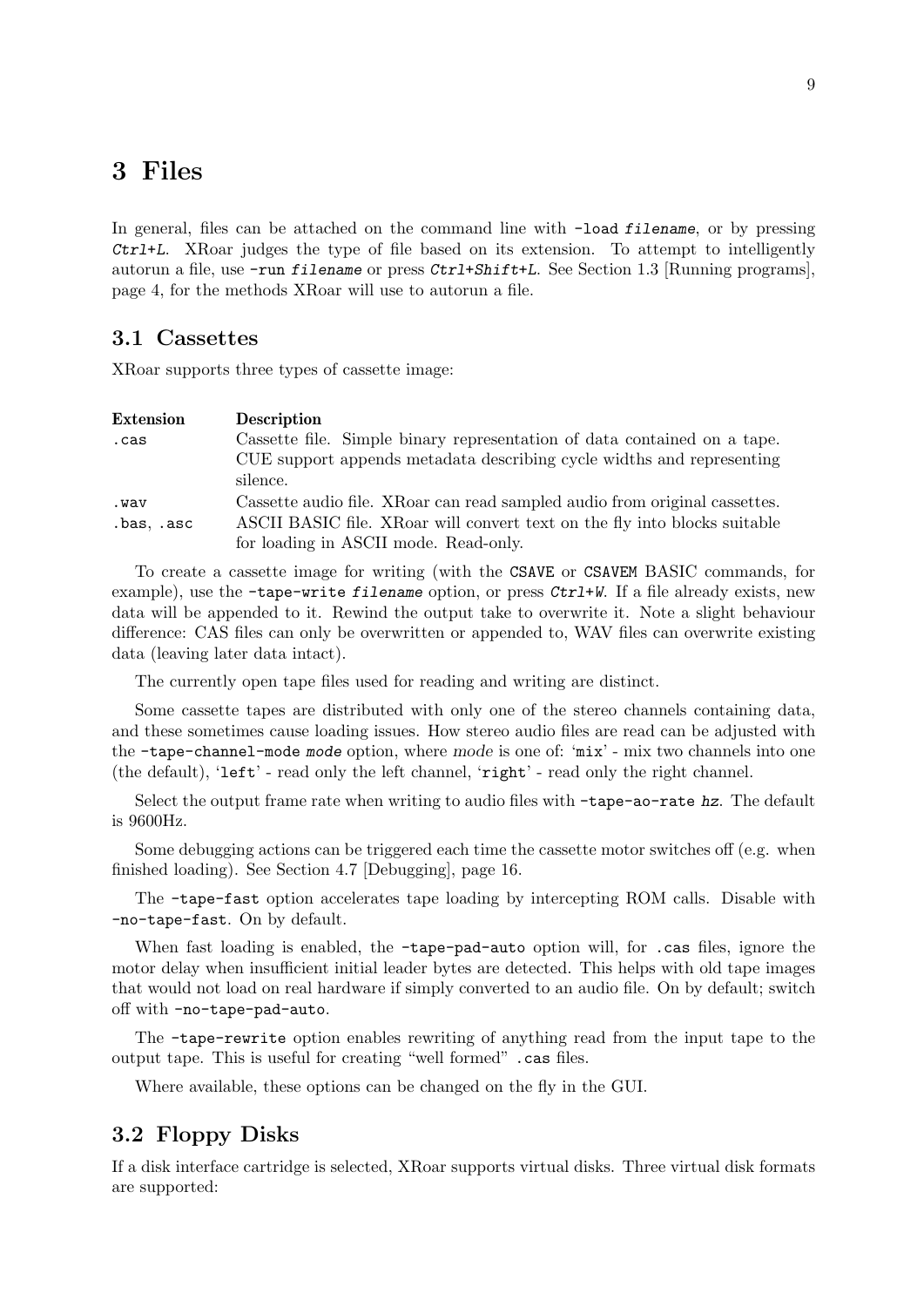## <span id="page-11-0"></span>3 Files

In general, files can be attached on the command line with  $-\text{load filename}$ , or by pressing Ctrl+L. XRoar judges the type of file based on its extension. To attempt to intelligently autorun a file, use  $\text{-run filename}$  or press  $\text{Ctrl+Shift+L}$ . See [Section 1.3 \[Running programs\],](#page-6-1) [page 4,](#page-6-1) for the methods XRoar will use to autorun a file.

### <span id="page-11-1"></span>3.1 Cassettes

XRoar supports three types of cassette image:

| <b>Extension</b> | <b>Description</b>                                                         |
|------------------|----------------------------------------------------------------------------|
| .cas             | Cassette file. Simple binary representation of data contained on a tape.   |
|                  | CUE support appends metadata describing cycle widths and representing      |
|                  | silence.                                                                   |
| .wav             | Cassette audio file. XRoar can read sampled audio from original cassettes. |
| .bas, .asc       | ASCII BASIC file. XRoar will convert text on the fly into blocks suitable  |
|                  | for loading in ASCII mode. Read-only.                                      |

To create a cassette image for writing (with the CSAVE or CSAVEM BASIC commands, for example), use the -tape-write filename option, or press  $\mathcal{C}tr1+W$ . If a file already exists, new data will be appended to it. Rewind the output take to overwrite it. Note a slight behaviour difference: CAS files can only be overwritten or appended to, WAV files can overwrite existing data (leaving later data intact).

The currently open tape files used for reading and writing are distinct.

Some cassette tapes are distributed with only one of the stereo channels containing data, and these sometimes cause loading issues. How stereo audio files are read can be adjusted with the -tape-channel-mode mode option, where mode is one of: 'mix' - mix two channels into one (the default), 'left' - read only the left channel, 'right' - read only the right channel.

Select the output frame rate when writing to audio files with  $-\tan \theta$ -rate hz. The default is 9600Hz.

Some debugging actions can be triggered each time the cassette motor switches off (e.g. when finished loading). See [Section 4.7 \[Debugging\], page 16.](#page-18-1)

The -tape-fast option accelerates tape loading by intercepting ROM calls. Disable with -no-tape-fast. On by default.

When fast loading is enabled, the -tape-pad-auto option will, for .cas files, ignore the motor delay when insufficient initial leader bytes are detected. This helps with old tape images that would not load on real hardware if simply converted to an audio file. On by default; switch off with -no-tape-pad-auto.

The -tape-rewrite option enables rewriting of anything read from the input tape to the output tape. This is useful for creating "well formed" .cas files.

Where available, these options can be changed on the fly in the GUI.

### <span id="page-11-2"></span>3.2 Floppy Disks

If a disk interface cartridge is selected, XRoar supports virtual disks. Three virtual disk formats are supported: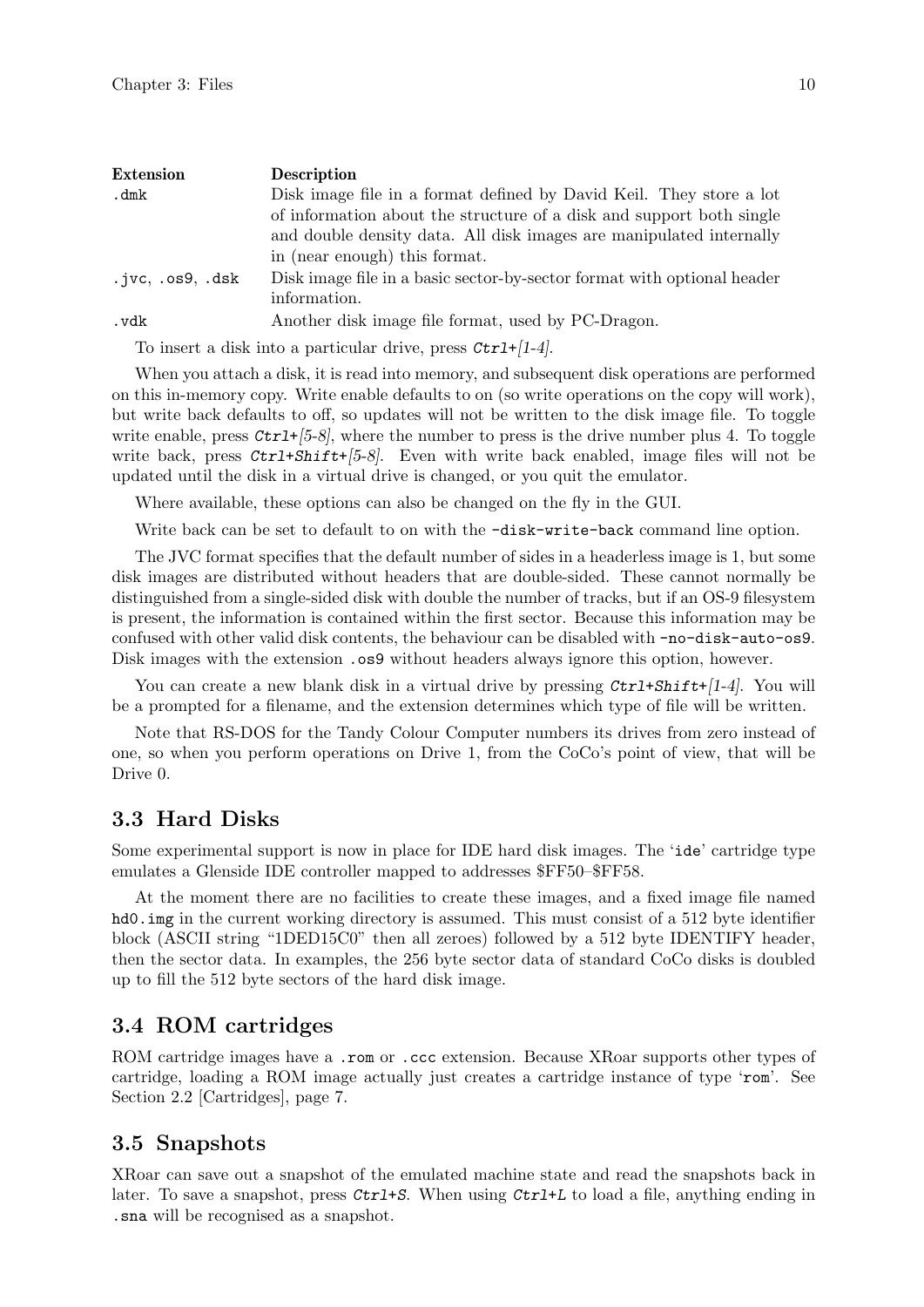<span id="page-12-0"></span>

| <b>Extension</b>        | <b>Description</b>                                                      |
|-------------------------|-------------------------------------------------------------------------|
| . $dmk$                 | Disk image file in a format defined by David Keil. They store a lot     |
|                         | of information about the structure of a disk and support both single    |
|                         | and double density data. All disk images are manipulated internally     |
|                         | in (near enough) this format.                                           |
| $.ivc$ , $.0s9$ , $.dk$ | Disk image file in a basic sector-by-sector format with optional header |
|                         | information.                                                            |
| . vdk                   | Another disk image file format, used by PC-Dragon.                      |

To insert a disk into a particular drive, press  $Ctrl+1-4$ .

When you attach a disk, it is read into memory, and subsequent disk operations are performed on this in-memory copy. Write enable defaults to on (so write operations on the copy will work), but write back defaults to off, so updates will not be written to the disk image file. To toggle write enable, press  $\mathcal{C}\text{tr1+}[5-8]$ , where the number to press is the drive number plus 4. To toggle write back, press  $Ctrl+Shift+[5-8]$ . Even with write back enabled, image files will not be updated until the disk in a virtual drive is changed, or you quit the emulator.

Where available, these options can also be changed on the fly in the GUI.

Write back can be set to default to on with the  $-disk-write-back$  command line option.

The JVC format specifies that the default number of sides in a headerless image is 1, but some disk images are distributed without headers that are double-sided. These cannot normally be distinguished from a single-sided disk with double the number of tracks, but if an OS-9 filesystem is present, the information is contained within the first sector. Because this information may be confused with other valid disk contents, the behaviour can be disabled with -no-disk-auto-os9. Disk images with the extension .  $\cos 9$  without headers always ignore this option, however.

You can create a new blank disk in a virtual drive by pressing  $\mathcal{C}\text{tr1+S}\text{hift}$ -[1-4]. You will be a prompted for a filename, and the extension determines which type of file will be written.

Note that RS-DOS for the Tandy Colour Computer numbers its drives from zero instead of one, so when you perform operations on Drive 1, from the CoCo's point of view, that will be Drive 0.

### <span id="page-12-1"></span>3.3 Hard Disks

Some experimental support is now in place for IDE hard disk images. The 'ide' cartridge type emulates a Glenside IDE controller mapped to addresses \$FF50–\$FF58.

At the moment there are no facilities to create these images, and a fixed image file named hd0.img in the current working directory is assumed. This must consist of a 512 byte identifier block (ASCII string "1DED15C0" then all zeroes) followed by a 512 byte IDENTIFY header, then the sector data. In examples, the 256 byte sector data of standard CoCo disks is doubled up to fill the 512 byte sectors of the hard disk image.

### 3.4 ROM cartridges

ROM cartridge images have a .rom or .ccc extension. Because XRoar supports other types of cartridge, loading a ROM image actually just creates a cartridge instance of type 'rom'. See [Section 2.2 \[Cartridges\], page 7](#page-9-1).

### 3.5 Snapshots

XRoar can save out a snapshot of the emulated machine state and read the snapshots back in later. To save a snapshot, press Ctrl+S. When using Ctrl+L to load a file, anything ending in .sna will be recognised as a snapshot.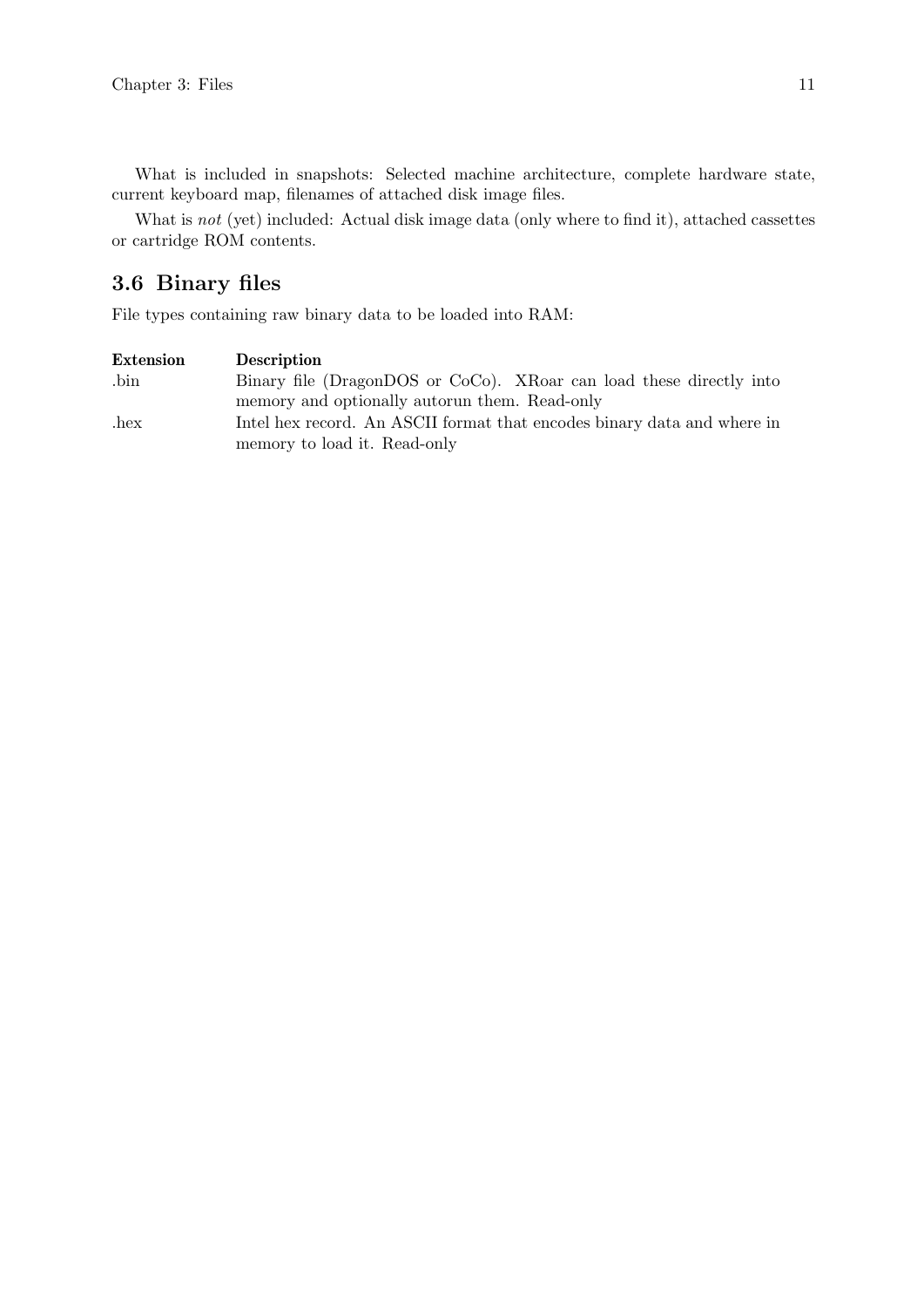<span id="page-13-0"></span>What is not (yet) included: Actual disk image data (only where to find it), attached cassettes or cartridge ROM contents.

## 3.6 Binary files

File types containing raw binary data to be loaded into RAM:

| Extension      | Description                                                                                             |
|----------------|---------------------------------------------------------------------------------------------------------|
| $\binom{1}{1}$ | Binary file (DragonDOS or CoCo). XRoar can load these directly into                                     |
|                | memory and optionally autorun them. Read-only                                                           |
| hex            | Intel hex record. An ASCII format that encodes binary data and where in<br>memory to load it. Read-only |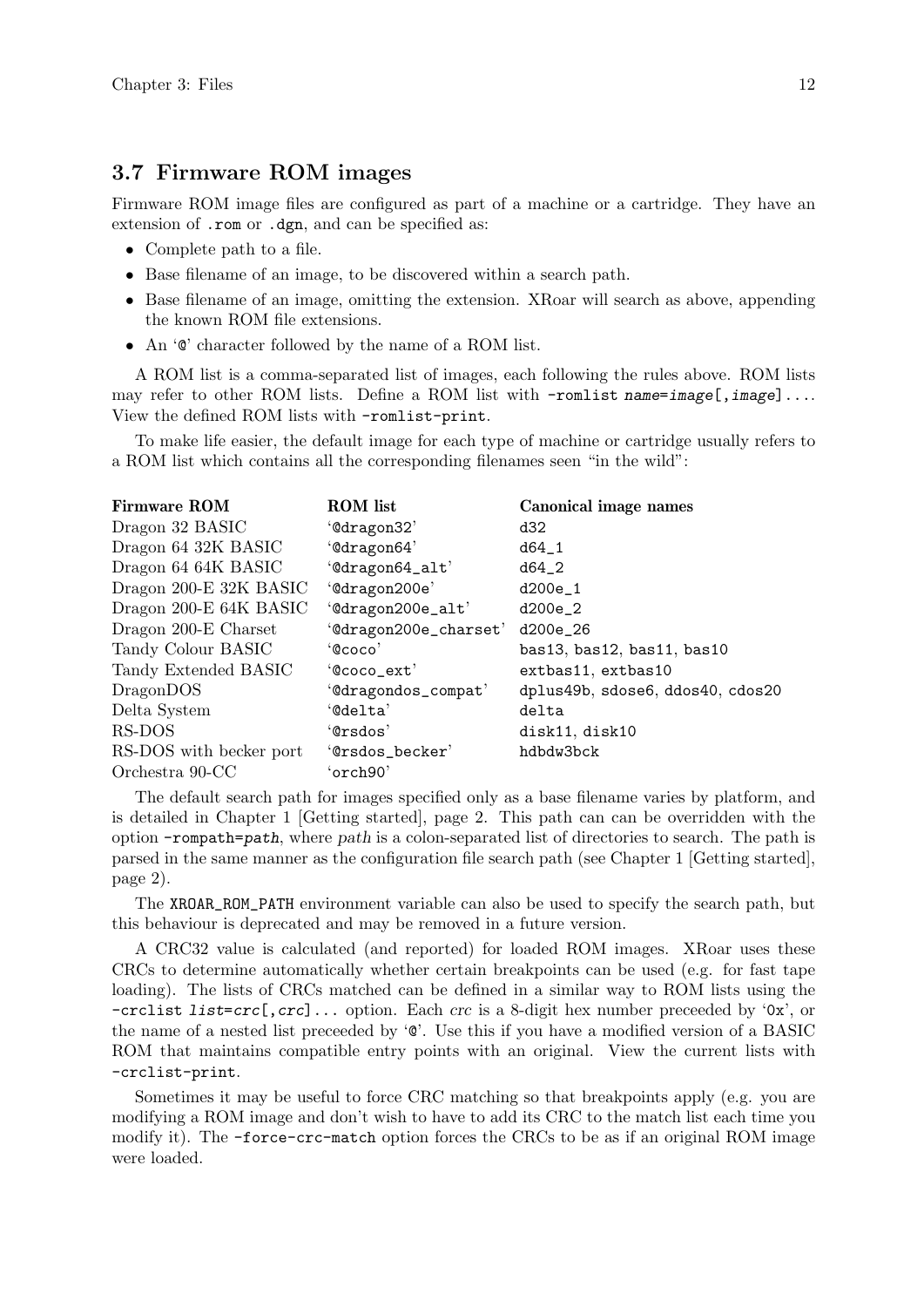### <span id="page-14-0"></span>3.7 Firmware ROM images

Firmware ROM image files are configured as part of a machine or a cartridge. They have an extension of .rom or .dgn, and can be specified as:

- Complete path to a file.
- Base filename of an image, to be discovered within a search path.
- Base filename of an image, omitting the extension. XRoar will search as above, appending the known ROM file extensions.
- An  $\circ$  character followed by the name of a ROM list.

A ROM list is a comma-separated list of images, each following the rules above. ROM lists may refer to other ROM lists. Define a ROM list with  $-$ romlist name=image[,image]... View the defined ROM lists with -romlist-print.

To make life easier, the default image for each type of machine or cartridge usually refers to a ROM list which contains all the corresponding filenames seen "in the wild":

| <b>ROM</b> list       | Canonical image names            |
|-----------------------|----------------------------------|
| '@dragon32'           | d32                              |
| '@dragon64'           | $d64_1$                          |
| '@dragon64_alt'       | $d64_2$                          |
| '@dragon200e'         | d200e_1                          |
| '@dragon200e_alt'     | $d200e_2$                        |
| '@dragon200e_charset' | d200e_26                         |
| "Q <sub>COCO</sub> "  | bas13, bas12, bas11, bas10       |
| '@coco_ext'           | extbas11, extbas10               |
| '@dragondos_compat'   | dplus49b, sdose6, ddos40, cdos20 |
| '@delta'              | delta                            |
| 'Orsdos'              | disk11, disk10                   |
| 'Orsdos_becker'       | hdbdw3bck                        |
| 'orch90'              |                                  |
|                       |                                  |

The default search path for images specified only as a base filename varies by platform, and is detailed in [Chapter 1 \[Getting started\], page 2.](#page-4-0) This path can can be overridden with the option -rompath=path, where path is a colon-separated list of directories to search. The path is parsed in the same manner as the configuration file search path (see [Chapter 1 \[Getting started\],](#page-4-0) [page 2\)](#page-4-0).

The XROAR\_ROM\_PATH environment variable can also be used to specify the search path, but this behaviour is deprecated and may be removed in a future version.

A CRC32 value is calculated (and reported) for loaded ROM images. XRoar uses these CRCs to determine automatically whether certain breakpoints can be used (e.g. for fast tape loading). The lists of CRCs matched can be defined in a similar way to ROM lists using the  $-crclist list=crc[, crc]...$  option. Each crc is a 8-digit hex number preceeded by '0x', or the name of a nested list preceeded by '@'. Use this if you have a modified version of a BASIC ROM that maintains compatible entry points with an original. View the current lists with -crclist-print.

Sometimes it may be useful to force CRC matching so that breakpoints apply (e.g. you are modifying a ROM image and don't wish to have to add its CRC to the match list each time you modify it). The -force-crc-match option forces the CRCs to be as if an original ROM image were loaded.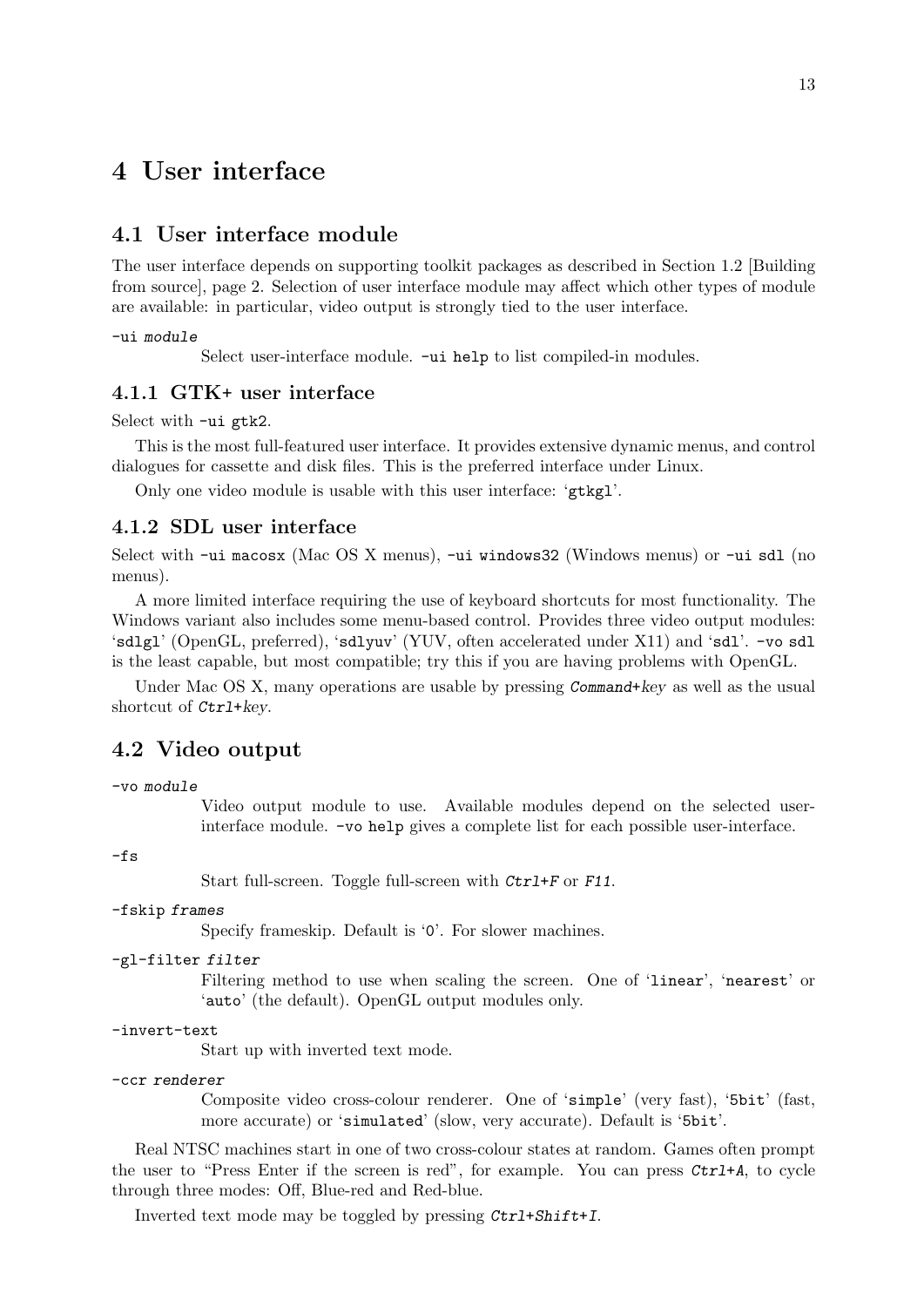## <span id="page-15-0"></span>4 User interface

### 4.1 User interface module

The user interface depends on supporting toolkit packages as described in [Section 1.2 \[Building](#page-4-1) [from source\], page 2](#page-4-1). Selection of user interface module may affect which other types of module are available: in particular, video output is strongly tied to the user interface.

-ui module

Select user-interface module. -ui help to list compiled-in modules.

### 4.1.1 GTK+ user interface

Select with -ui gtk2.

This is the most full-featured user interface. It provides extensive dynamic menus, and control dialogues for cassette and disk files. This is the preferred interface under Linux.

Only one video module is usable with this user interface: 'gtkgl'.

### 4.1.2 SDL user interface

Select with -ui macosx (Mac OS X menus), -ui windows32 (Windows menus) or -ui sdl (no menus).

A more limited interface requiring the use of keyboard shortcuts for most functionality. The Windows variant also includes some menu-based control. Provides three video output modules: 'sdlgl' (OpenGL, preferred), 'sdlyuv' (YUV, often accelerated under X11) and 'sdl'. -vo sdl is the least capable, but most compatible; try this if you are having problems with OpenGL.

Under Mac OS X, many operations are usable by pressing Command+key as well as the usual shortcut of Ctrl+key.

### 4.2 Video output

-vo module

Video output module to use. Available modules depend on the selected userinterface module. -vo help gives a complete list for each possible user-interface.

-fs

Start full-screen. Toggle full-screen with  $Ctrl+F$  or F11.

#### -fskip frames

Specify frameskip. Default is '0'. For slower machines.

### -gl-filter filter

Filtering method to use when scaling the screen. One of 'linear', 'nearest' or 'auto' (the default). OpenGL output modules only.

-invert-text

Start up with inverted text mode.

```
-ccr renderer
```
Composite video cross-colour renderer. One of 'simple' (very fast), '5bit' (fast, more accurate) or 'simulated' (slow, very accurate). Default is '5bit'.

Real NTSC machines start in one of two cross-colour states at random. Games often prompt the user to "Press Enter if the screen is red", for example. You can press Ctrl+A, to cycle through three modes: Off, Blue-red and Red-blue.

Inverted text mode may be toggled by pressing Ctrl+Shift+I.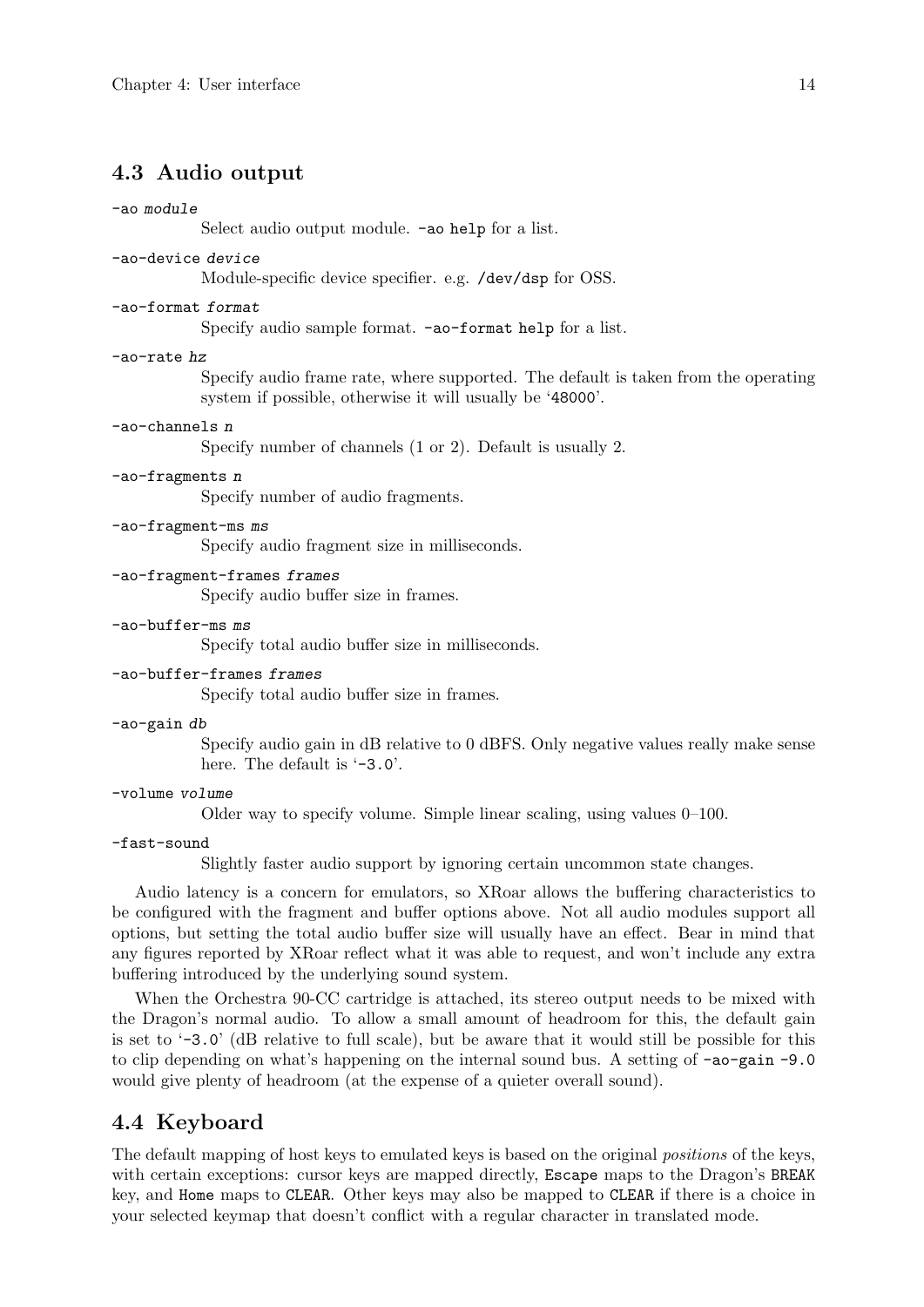### <span id="page-16-0"></span>4.3 Audio output

#### -ao module

Select audio output module. -ao help for a list.

#### -ao-device device

Module-specific device specifier. e.g. /dev/dsp for OSS.

#### -ao-format format

Specify audio sample format. -ao-format help for a list.

#### -ao-rate hz

Specify audio frame rate, where supported. The default is taken from the operating system if possible, otherwise it will usually be '48000'.

#### -ao-channels n

Specify number of channels (1 or 2). Default is usually 2.

### -ao-fragments n

Specify number of audio fragments.

### -ao-fragment-ms ms

Specify audio fragment size in milliseconds.

#### -ao-fragment-frames frames

Specify audio buffer size in frames.

#### -ao-buffer-ms ms

Specify total audio buffer size in milliseconds.

#### -ao-buffer-frames frames

Specify total audio buffer size in frames.

#### -ao-gain db

Specify audio gain in dB relative to 0 dBFS. Only negative values really make sense here. The default is  $\div 3.0$ .

#### -volume volume

Older way to specify volume. Simple linear scaling, using values 0–100.

#### -fast-sound

Slightly faster audio support by ignoring certain uncommon state changes.

Audio latency is a concern for emulators, so XRoar allows the buffering characteristics to be configured with the fragment and buffer options above. Not all audio modules support all options, but setting the total audio buffer size will usually have an effect. Bear in mind that any figures reported by XRoar reflect what it was able to request, and won't include any extra buffering introduced by the underlying sound system.

When the Orchestra 90-CC cartridge is attached, its stereo output needs to be mixed with the Dragon's normal audio. To allow a small amount of headroom for this, the default gain is set to  $\div$ 3.0' (dB relative to full scale), but be aware that it would still be possible for this to clip depending on what's happening on the internal sound bus. A setting of  $-\infty$ -gain -9.0 would give plenty of headroom (at the expense of a quieter overall sound).

### <span id="page-16-1"></span>4.4 Keyboard

The default mapping of host keys to emulated keys is based on the original positions of the keys, with certain exceptions: cursor keys are mapped directly, Escape maps to the Dragon's BREAK key, and Home maps to CLEAR. Other keys may also be mapped to CLEAR if there is a choice in your selected keymap that doesn't conflict with a regular character in translated mode.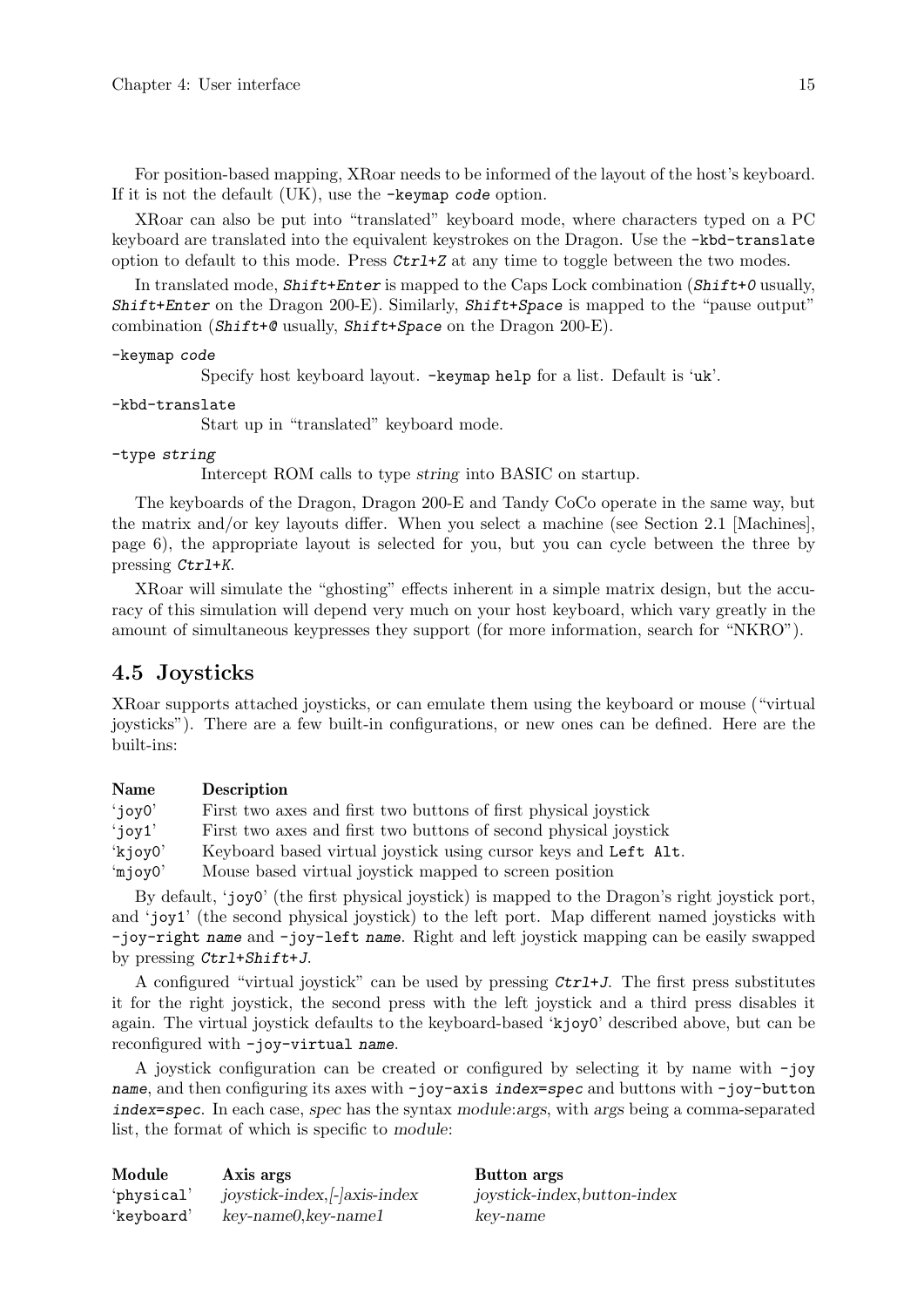<span id="page-17-0"></span>For position-based mapping, XRoar needs to be informed of the layout of the host's keyboard. If it is not the default (UK), use the -keymap code option.

XRoar can also be put into "translated" keyboard mode, where characters typed on a PC keyboard are translated into the equivalent keystrokes on the Dragon. Use the -kbd-translate option to default to this mode. Press  $\mathcal{C}tr1+Z$  at any time to toggle between the two modes.

In translated mode,  $Shift+Enter$  is mapped to the Caps Lock combination ( $Shift+0$  usually, Shift+Enter on the Dragon 200-E). Similarly, Shift+Space is mapped to the "pause output" combination (Shift+@ usually, Shift+Space on the Dragon 200-E).

```
-keymap code
```
Specify host keyboard layout. -keymap help for a list. Default is 'uk'.

```
-kbd-translate
```
Start up in "translated" keyboard mode.

### -type string

Intercept ROM calls to type string into BASIC on startup.

The keyboards of the Dragon, Dragon 200-E and Tandy CoCo operate in the same way, but the matrix and/or key layouts differ. When you select a machine (see [Section 2.1 \[Machines\],](#page-8-1) [page 6](#page-8-1)), the appropriate layout is selected for you, but you can cycle between the three by pressing Ctrl+K.

XRoar will simulate the "ghosting" effects inherent in a simple matrix design, but the accuracy of this simulation will depend very much on your host keyboard, which vary greatly in the amount of simultaneous keypresses they support (for more information, search for "NKRO").

### <span id="page-17-1"></span>4.5 Joysticks

XRoar supports attached joysticks, or can emulate them using the keyboard or mouse ("virtual joysticks"). There are a few built-in configurations, or new ones can be defined. Here are the built-ins:

#### Name Description

'joy0' First two axes and first two buttons of first physical joystick 'joy1' First two axes and first two buttons of second physical joystick 'kjoy0' Keyboard based virtual joystick using cursor keys and Left Alt. 'mjoy0' Mouse based virtual joystick mapped to screen position

By default, 'joy0' (the first physical joystick) is mapped to the Dragon's right joystick port, and 'joy1' (the second physical joystick) to the left port. Map different named joysticks with -joy-right name and -joy-left name. Right and left joystick mapping can be easily swapped by pressing Ctrl+Shift+J.

A configured "virtual joystick" can be used by pressing Ctrl+J. The first press substitutes it for the right joystick, the second press with the left joystick and a third press disables it again. The virtual joystick defaults to the keyboard-based 'kjoy0' described above, but can be reconfigured with -joy-virtual name.

A joystick configuration can be created or configured by selecting it by name with -joy name, and then configuring its axes with -joy-axis index=spec and buttons with -joy-button index=spec. In each case, spec has the syntax module:args, with args being a comma-separated list, the format of which is specific to module:

| Module     | Axis args                         | Button args                  |
|------------|-----------------------------------|------------------------------|
| 'physical' | $joystick-index$ , $  axis-index$ | joystick-index, button-index |
| 'keyboard' | $key$ -name $0$ , key-name $1$    | key-name                     |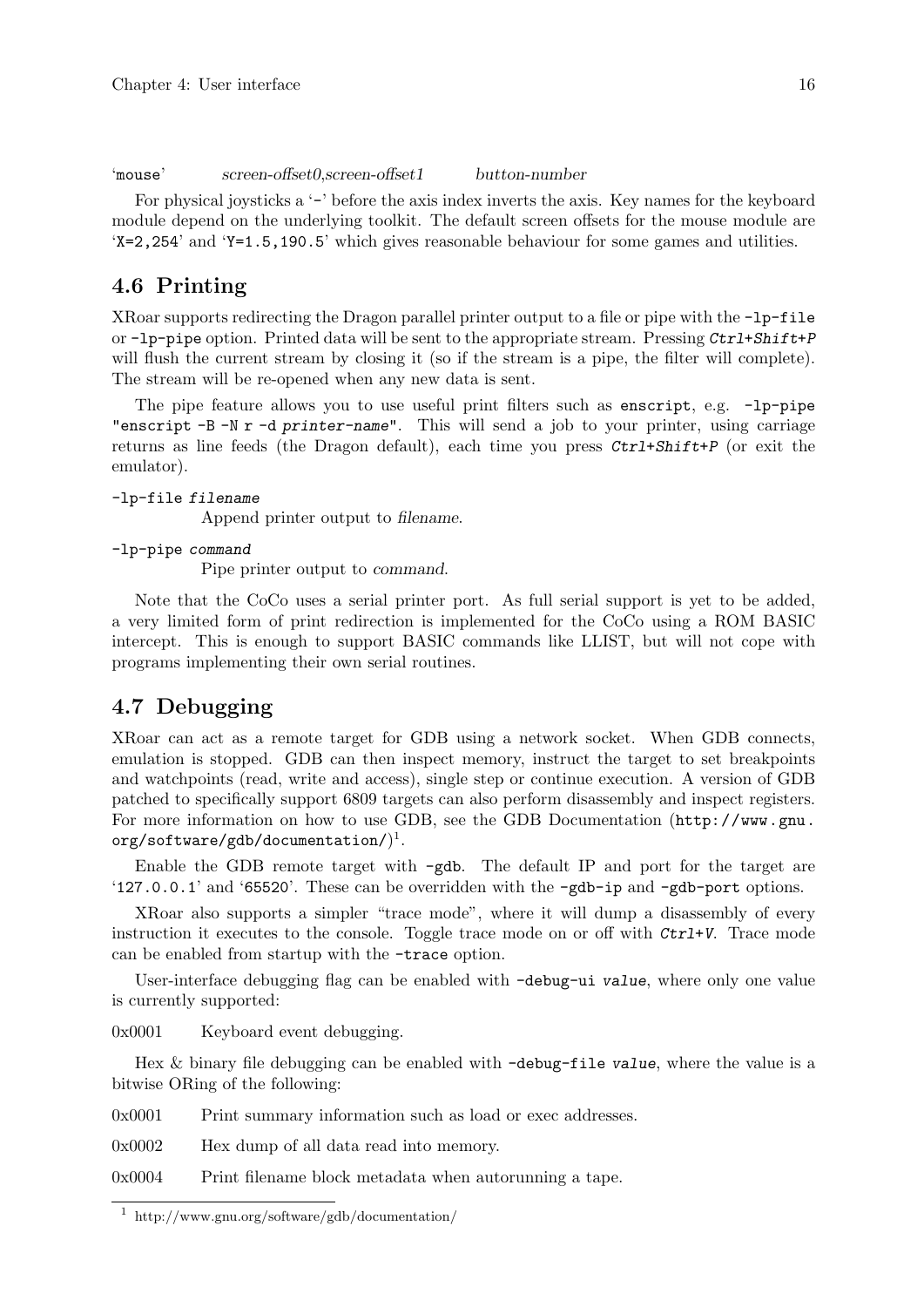<span id="page-18-0"></span>'mouse' screen-offset0,screen-offset1 button-number

For physical joysticks a '-' before the axis index inverts the axis. Key names for the keyboard module depend on the underlying toolkit. The default screen offsets for the mouse module are 'X=2,254' and 'Y=1.5,190.5' which gives reasonable behaviour for some games and utilities.

### 4.6 Printing

XRoar supports redirecting the Dragon parallel printer output to a file or pipe with the -lp-file or  $-\mathbf{lp}-\mathbf{pipe}$  option. Printed data will be sent to the appropriate stream. Pressing  $\mathcal{C}\mathbf{tr}\mathbf{1}+\mathbf{Shift}+\mathbf{P}$ will flush the current stream by closing it (so if the stream is a pipe, the filter will complete). The stream will be re-opened when any new data is sent.

The pipe feature allows you to use useful print filters such as enscript, e.g. -lp-pipe "enscript -B -N r -d printer-name". This will send a job to your printer, using carriage returns as line feeds (the Dragon default), each time you press Ctrl+Shift+P (or exit the emulator).

### -lp-file filename

Append printer output to filename.

-lp-pipe command

Pipe printer output to command.

Note that the CoCo uses a serial printer port. As full serial support is yet to be added, a very limited form of print redirection is implemented for the CoCo using a ROM BASIC intercept. This is enough to support BASIC commands like LLIST, but will not cope with programs implementing their own serial routines.

### <span id="page-18-1"></span>4.7 Debugging

XRoar can act as a remote target for GDB using a network socket. When GDB connects, emulation is stopped. GDB can then inspect memory, instruct the target to set breakpoints and watchpoints (read, write and access), single step or continue execution. A version of GDB patched to specifically support 6809 targets can also perform disassembly and inspect registers. For more information on how to use GDB, see the [GDB Documentation \(](http://www.gnu.org/software/gdb/documentation/)http://www.gnu.  $\texttt{org}/\texttt{softmax}/\texttt{gdb}/\texttt{documentation}/\text{)}^{1}.$ 

Enable the GDB remote target with -gdb. The default IP and port for the target are '127.0.0.1' and '65520'. These can be overridden with the -gdb-ip and -gdb-port options.

XRoar also supports a simpler "trace mode", where it will dump a disassembly of every instruction it executes to the console. Toggle trace mode on or off with Ctrl+V. Trace mode can be enabled from startup with the -trace option.

User-interface debugging flag can be enabled with -debug-ui value, where only one value is currently supported:

0x0001 Keyboard event debugging.

Hex & binary file debugging can be enabled with -debug-file value, where the value is a bitwise ORing of the following:

0x0001 Print summary information such as load or exec addresses.

0x0002 Hex dump of all data read into memory.

0x0004 Print filename block metadata when autorunning a tape.

<sup>1</sup> http://www.gnu.org/software/gdb/documentation/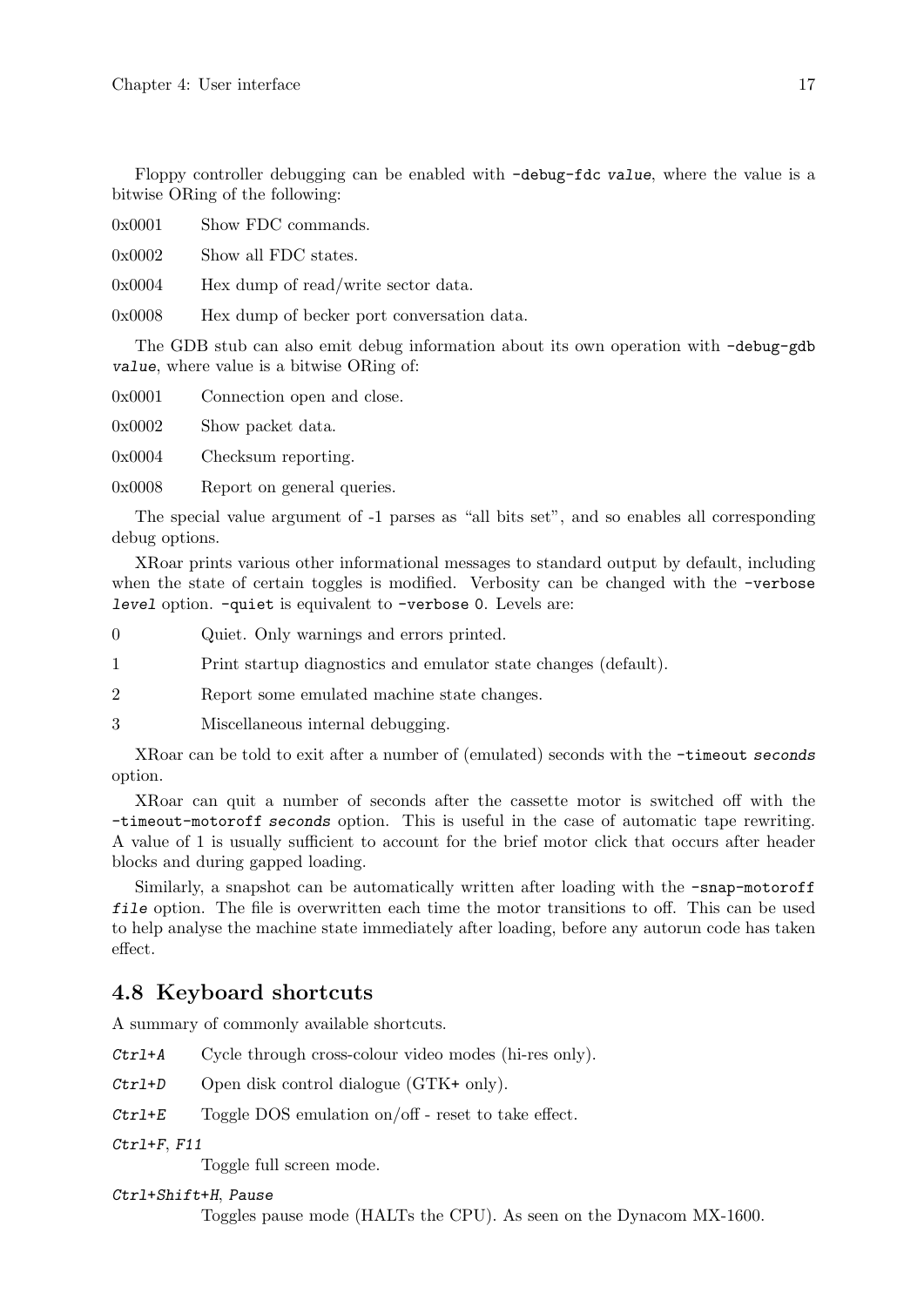<span id="page-19-0"></span>Floppy controller debugging can be enabled with -debug-fdc value, where the value is a bitwise ORing of the following:

0x0001 Show FDC commands.

0x0002 Show all FDC states.

0x0004 Hex dump of read/write sector data.

0x0008 Hex dump of becker port conversation data.

The GDB stub can also emit debug information about its own operation with -debug-gdb value, where value is a bitwise ORing of:

0x0001 Connection open and close.

0x0002 Show packet data.

0x0004 Checksum reporting.

0x0008 Report on general queries.

The special value argument of -1 parses as "all bits set", and so enables all corresponding debug options.

XRoar prints various other informational messages to standard output by default, including when the state of certain toggles is modified. Verbosity can be changed with the -verbose level option. -quiet is equivalent to -verbose 0. Levels are:

0 Quiet. Only warnings and errors printed.

1 Print startup diagnostics and emulator state changes (default).

2 Report some emulated machine state changes.

3 Miscellaneous internal debugging.

XRoar can be told to exit after a number of (emulated) seconds with the -timeout seconds option.

XRoar can quit a number of seconds after the cassette motor is switched off with the -timeout-motoroff seconds option. This is useful in the case of automatic tape rewriting. A value of 1 is usually sufficient to account for the brief motor click that occurs after header blocks and during gapped loading.

Similarly, a snapshot can be automatically written after loading with the -snap-motoroff file option. The file is overwritten each time the motor transitions to off. This can be used to help analyse the machine state immediately after loading, before any autorun code has taken effect.

### 4.8 Keyboard shortcuts

A summary of commonly available shortcuts.

Ctrl+A Cycle through cross-colour video modes (hi-res only).

Ctrl+D Open disk control dialogue (GTK+ only).

 $Ctrl+E$  Toggle DOS emulation on/off - reset to take effect.

Ctrl+F, F11

Toggle full screen mode.

### Ctrl+Shift+H, Pause

Toggles pause mode (HALTs the CPU). As seen on the Dynacom MX-1600.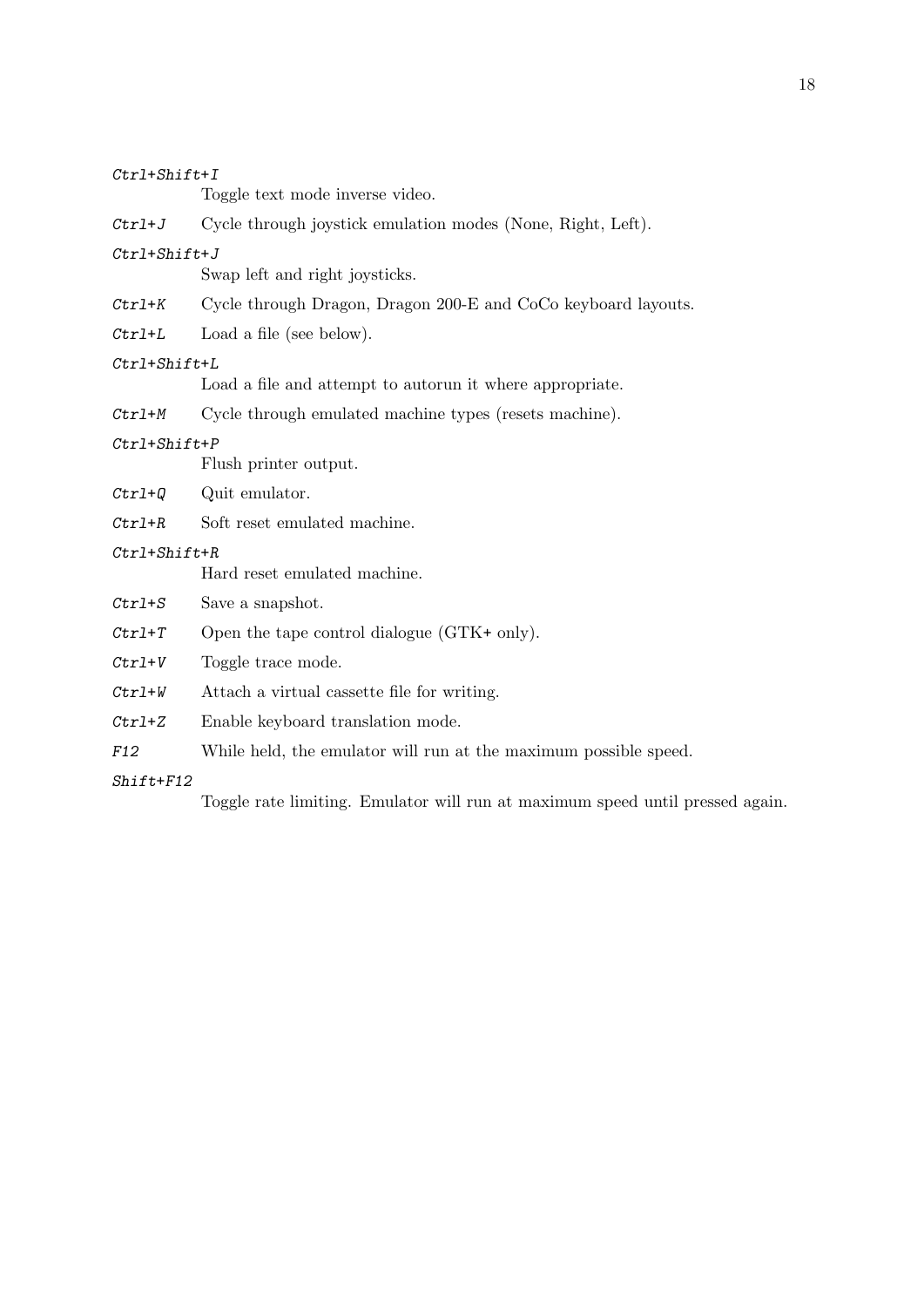| $Ctrl + Shift + I$ |
|--------------------|
|--------------------|

| Ctr1+Shift+1       |                                                                               |
|--------------------|-------------------------------------------------------------------------------|
|                    | Toggle text mode inverse video.                                               |
| $Ctrl+J$           | Cycle through joystick emulation modes (None, Right, Left).                   |
| $Ctrl + Shift + J$ |                                                                               |
|                    | Swap left and right joysticks.                                                |
| $Ctrl+K$           | Cycle through Dragon, Dragon 200-E and CoCo keyboard layouts.                 |
| $Ctrl+L$           | Load a file (see below).                                                      |
| Ctrl+Shift+L       |                                                                               |
|                    | Load a file and attempt to autorun it where appropriate.                      |
| $Ctrl+M$           | Cycle through emulated machine types (resets machine).                        |
| $Ctrl + Shift + P$ |                                                                               |
|                    | Flush printer output.                                                         |
| $Ctrl+Q$           | Quit emulator.                                                                |
| $Ctrl+R$           | Soft reset emulated machine.                                                  |
| $Ctrl + Shift + R$ |                                                                               |
|                    | Hard reset emulated machine.                                                  |
| $Ctrl + S$         | Save a snapshot.                                                              |
| $Ctrl+T$           | Open the tape control dialogue $(GTK+$ only).                                 |
| $Ctrl+V$           | Toggle trace mode.                                                            |
| $Ctrl+W$           | Attach a virtual cassette file for writing.                                   |
| $Ctrl+Z$           | Enable keyboard translation mode.                                             |
| F12                | While held, the emulator will run at the maximum possible speed.              |
| $Shift+F12$        |                                                                               |
|                    | Toggle rate limiting. Emulator will run at maximum speed until pressed again. |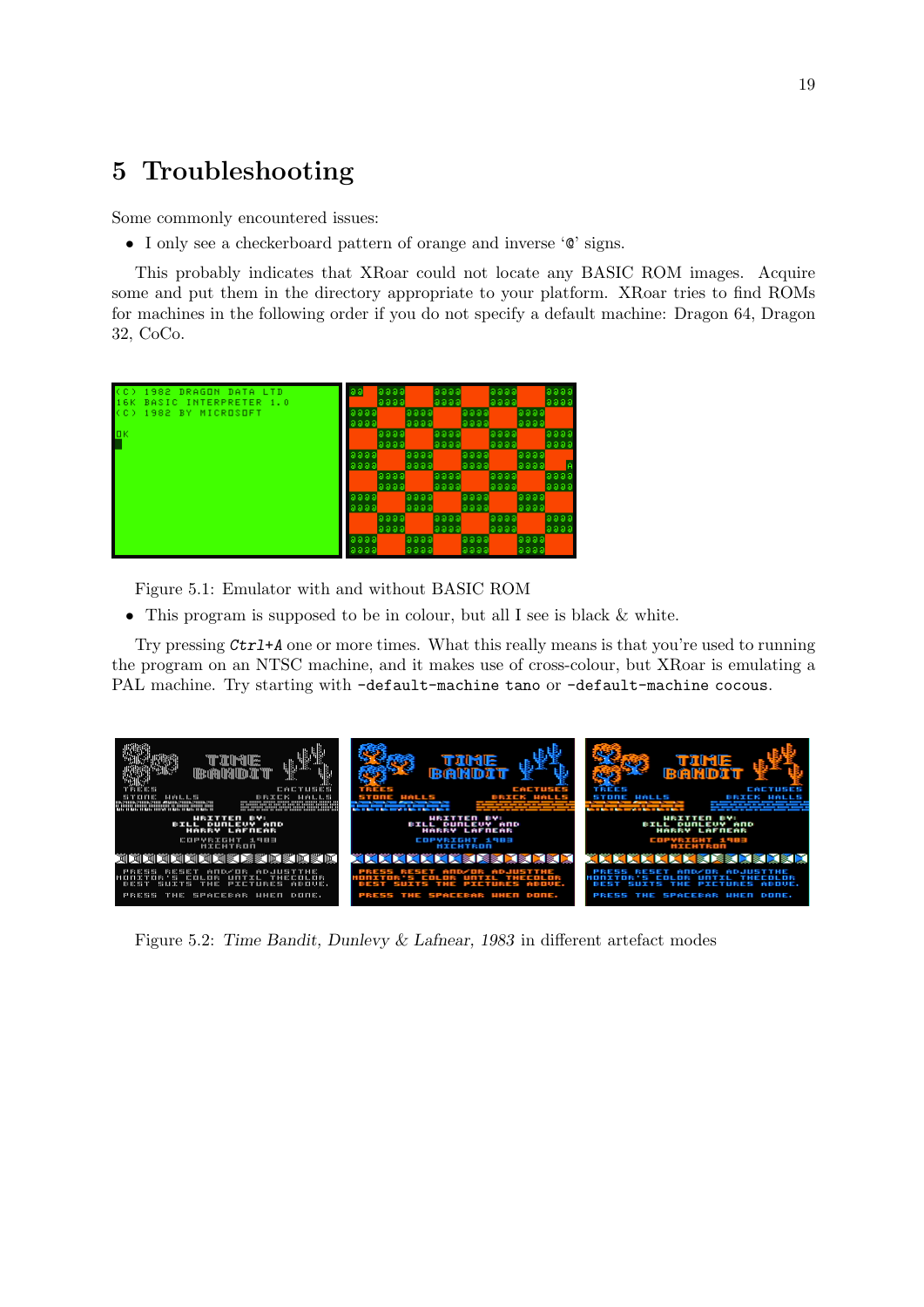## <span id="page-21-0"></span>5 Troubleshooting

Some commonly encountered issues:

• I only see a checkerboard pattern of orange and inverse '@' signs.

This probably indicates that XRoar could not locate any BASIC ROM images. Acquire some and put them in the directory appropriate to your platform. XRoar tries to find ROMs for machines in the following order if you do not specify a default machine: Dragon 64, Dragon 32, CoCo.



Figure 5.1: Emulator with and without BASIC ROM

• This program is supposed to be in colour, but all I see is black & white.

Try pressing Ctrl+A one or more times. What this really means is that you're used to running the program on an NTSC machine, and it makes use of cross-colour, but XRoar is emulating a PAL machine. Try starting with -default-machine tano or -default-machine cocous.



Figure 5.2: Time Bandit, Dunlevy & Lafnear, 1983 in different artefact modes